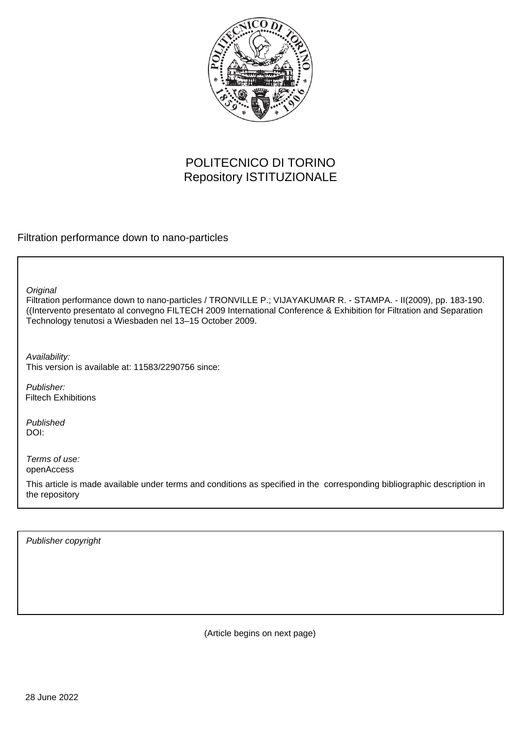

## POLITECNICO DI TORINO Repository ISTITUZIONALE

Filtration performance down to nano-particles

**Original** 

Filtration performance down to nano-particles / TRONVILLE P.; VIJAYAKUMAR R. - STAMPA. - II(2009), pp. 183-190. ((Intervento presentato al convegno FILTECH 2009 International Conference & Exhibition for Filtration and Separation Technology tenutosi a Wiesbaden nel 13–15 October 2009.

Availability: This version is available at: 11583/2290756 since:

Publisher: Filtech Exhibitions

Published DOI:

Terms of use: openAccess

This article is made available under terms and conditions as specified in the corresponding bibliographic description in the repository

Publisher copyright

(Article begins on next page)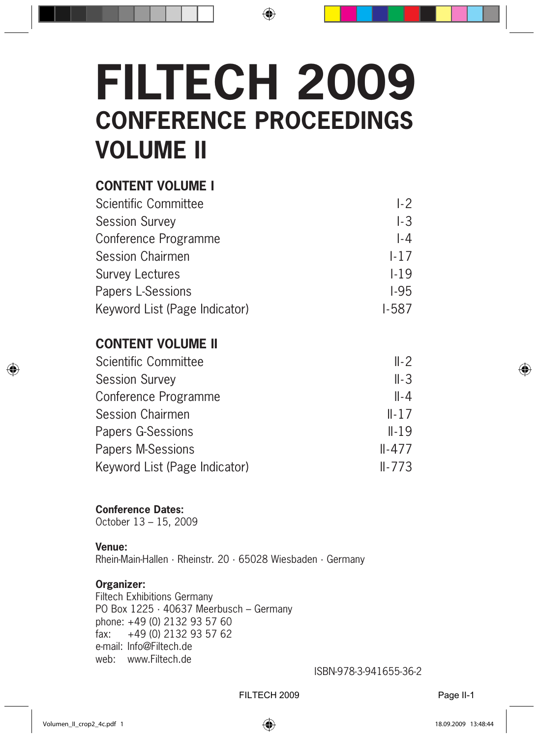# **FILTECH 2009 CONFERENCE PROCEEDINGS VOLUME II**

### **CONTENT VOLUME I**

| Scientific Committee          | $\mathsf{L}2$ |
|-------------------------------|---------------|
| <b>Session Survey</b>         | I-3           |
| Conference Programme          | I-4           |
| <b>Session Chairmen</b>       | $1 - 17$      |
| <b>Survey Lectures</b>        | $1-19$        |
| Papers L-Sessions             | $1-95$        |
| Keyword List (Page Indicator) | I-587         |

### **CONTENT VOLUME II**

| Scientific Committee          | $II-2$     |
|-------------------------------|------------|
| <b>Session Survey</b>         | $II-3$     |
| Conference Programme          | $II - 4$   |
| <b>Session Chairmen</b>       | $II - 17$  |
| Papers G-Sessions             | $II-19$    |
| Papers M-Sessions             | $II - 477$ |
| Keyword List (Page Indicator) | $II - 773$ |
|                               |            |

#### **Conference Dates:**

October 13 – 15, 2009

#### **Venue:**

Rhein-Main-Hallen · Rheinstr. 20 · 65028 Wiesbaden · Germany

#### **Organizer:**

Filtech Exhibitions Germany PO Box 1225 · 40637 Meerbusch – Germany phone: +49 (0) 2132 93 57 60 fax: +49 (0) 2132 93 57 62 e-mail: Info@Filtech.de web: www.Filtech.de

ISBN-978-3-941655-36-2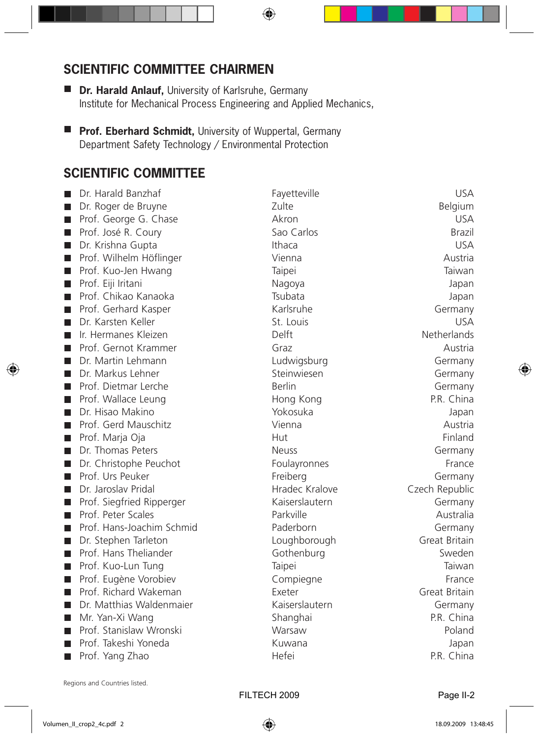### **SCIENTIFIC COMMITTEE CHAIRMEN**

**Dr. Harald Anlauf,** University of Karlsruhe, Germany Institute for Mechanical Process Engineering and Applied Mechanics,

**Prof. Eberhard Schmidt, University of Wuppertal, Germany** Department Safety Technology / Environmental Protection

### **SCIENTIFIC COMMITTEE**

| Dr. Harald Banzhaf                   | Fayetteville   | <b>USA</b>         |
|--------------------------------------|----------------|--------------------|
| Dr. Roger de Bruyne                  | Zulte          | Belgium            |
| Prof. George G. Chase<br>H           | Akron          | <b>USA</b>         |
| Prof. José R. Coury<br>H             | Sao Carlos     | <b>Brazil</b>      |
| Dr. Krishna Gupta<br>H               | Ithaca         | <b>USA</b>         |
| Prof. Wilhelm Höflinger<br>H         | Vienna         | Austria            |
| Prof. Kuo-Jen Hwang<br>H             | Taipei         | Taiwan             |
| Prof. Eiji Iritani<br>H              | Nagoya         | Japan              |
| Prof. Chikao Kanaoka                 | Tsubata        | Japan              |
| Prof. Gerhard Kasper                 | Karlsruhe      | Germany            |
| Dr. Karsten Keller                   | St. Louis      | <b>USA</b>         |
| Ir. Hermanes Kleizen                 | Delft          | <b>Netherlands</b> |
| Prof. Gernot Krammer                 | Graz           | Austria            |
| Dr. Martin Lehmann                   | Ludwigsburg    | Germany            |
| Dr. Markus Lehner                    | Steinwiesen    | Germany            |
| Prof. Dietmar Lerche                 | Berlin         | Germany            |
| Prof. Wallace Leung                  | Hong Kong      | P.R. China         |
| Dr. Hisao Makino                     | Yokosuka       | Japan              |
| Prof. Gerd Mauschitz                 | Vienna         | Austria            |
| Prof. Marja Oja                      | Hut            | Finland            |
| Dr. Thomas Peters                    | <b>Neuss</b>   | Germany            |
| Dr. Christophe Peuchot               | Foulayronnes   | France             |
| Prof. Urs Peuker                     | Freiberg       | Germany            |
| Dr. Jaroslav Pridal                  | Hradec Kralove | Czech Republic     |
| Prof. Siegfried Ripperger            | Kaiserslautern | Germany            |
| Prof. Peter Scales                   | Parkville      | Australia          |
| Prof. Hans-Joachim Schmid            | Paderborn      | Germany            |
| Dr. Stephen Tarleton<br>H            | Loughborough   | Great Britain      |
| Prof. Hans Theliander<br>H           | Gothenburg     | Sweden             |
| Prof. Kuo-Lun Tung<br>$\blacksquare$ | Taipei         | Taiwan             |
| Prof. Eugène Vorobiev<br>П           | Compiegne      | France             |
| Prof. Richard Wakeman<br>H           | Exeter         | Great Britain      |
| Dr. Matthias Waldenmajer<br>H        | Kaiserslautern | Germany            |
| Mr. Yan-Xi Wang<br>Ш                 | Shanghai       | P.R. China         |
| Prof. Stanislaw Wronski<br>Ш         | Warsaw         | Poland             |
| Prof. Takeshi Yoneda<br>l.           | Kuwana         | Japan              |
| Prof. Yang Zhao<br>H                 | Hefei          | P.R. China         |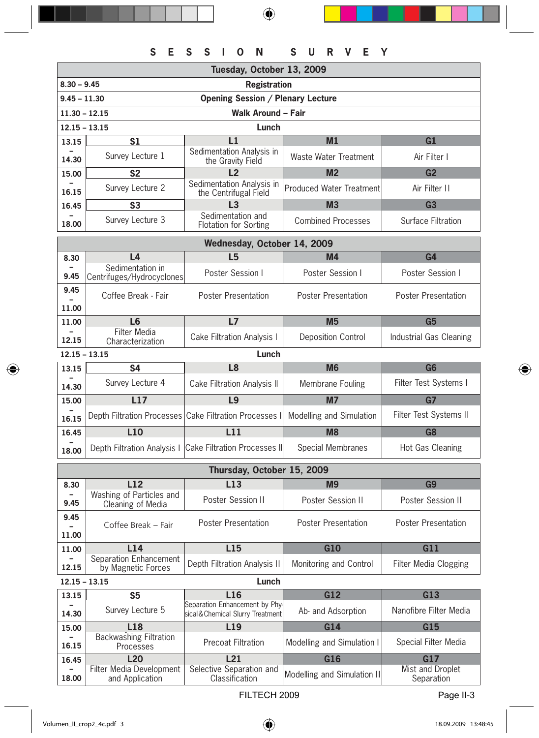### **SESSION SURVEY**

|                 | Tuesday, October 13, 2009 |                                                    |                                  |                    |  |  |  |  |
|-----------------|---------------------------|----------------------------------------------------|----------------------------------|--------------------|--|--|--|--|
| $8.30 - 9.45$   |                           | <b>Registration</b>                                |                                  |                    |  |  |  |  |
| $9.45 - 11.30$  |                           | Opening Session / Plenary Lecture                  |                                  |                    |  |  |  |  |
| $11.30 - 12.15$ |                           | Walk Around - Fair                                 |                                  |                    |  |  |  |  |
| $12.15 - 13.15$ |                           | Lunch                                              |                                  |                    |  |  |  |  |
| 13.15           | S <sub>1</sub>            | L1                                                 | M <sub>1</sub>                   | G1                 |  |  |  |  |
| 14.30           | Survey Lecture 1          | Sedimentation Analysis in<br>the Gravity Field     | Waste Water Treatment            | Air Filter I       |  |  |  |  |
| 15.00           | S <sub>2</sub>            | L2                                                 | M <sub>2</sub>                   | G <sub>2</sub>     |  |  |  |  |
| 16.15           | Survey Lecture 2          | Sedimentation Analysis in<br>the Centrifugal Field | <b>Produced Water Treatmentl</b> | Air Filter II      |  |  |  |  |
| 16.45           | S3                        | L3                                                 | M <sub>3</sub>                   | G <sub>3</sub>     |  |  |  |  |
| 18.00           | Survey Lecture 3          | Sedimentation and<br>Flotation for Sorting         | <b>Combined Processes</b>        | Surface Filtration |  |  |  |  |

|                                                  | Wednesday, October 14, 2009                   |                                                        |                            |                            |  |  |  |  |  |
|--------------------------------------------------|-----------------------------------------------|--------------------------------------------------------|----------------------------|----------------------------|--|--|--|--|--|
| 8.30                                             | L4                                            | L5                                                     |                            | G4                         |  |  |  |  |  |
| 9.45                                             | Sedimentation in<br>Centrifuges/Hydrocyclones | Poster Session I                                       | Poster Session I           | Poster Session I           |  |  |  |  |  |
| 9.45                                             | Coffee Break - Fair                           | <b>Poster Presentation</b>                             | <b>Poster Presentation</b> | <b>Poster Presentation</b> |  |  |  |  |  |
| 11.00                                            |                                               |                                                        |                            |                            |  |  |  |  |  |
| 11.00                                            | L6                                            | L7                                                     | M <sub>5</sub>             | G <sub>5</sub>             |  |  |  |  |  |
| <b>Filter Media</b><br>12.15<br>Characterization |                                               | Cake Filtration Analysis I                             | Deposition Control         | Industrial Gas Cleaning    |  |  |  |  |  |
| $12.15 - 13.15$                                  |                                               | Lunch                                                  |                            |                            |  |  |  |  |  |
|                                                  |                                               |                                                        |                            |                            |  |  |  |  |  |
| 13.15                                            | S4                                            | L8                                                     | M <sub>6</sub>             | G <sub>6</sub>             |  |  |  |  |  |
| 14.30                                            | Survey Lecture 4                              | Cake Filtration Analysis II                            | Membrane Fouling           | Filter Test Systems I      |  |  |  |  |  |
| 15.00                                            | L17                                           | L9                                                     | <b>M7</b>                  | G7                         |  |  |  |  |  |
| 16.15                                            |                                               | Depth Filtration Processes Cake Filtration Processes I | Modelling and Simulation   | Filter Test Systems II     |  |  |  |  |  |
| 16.45                                            | L <sub>10</sub>                               | L11                                                    | M <sub>8</sub>             | G8                         |  |  |  |  |  |

|                 | Thursday, October 15, 2009                    |                                                                           |                            |                                |  |  |  |  |  |
|-----------------|-----------------------------------------------|---------------------------------------------------------------------------|----------------------------|--------------------------------|--|--|--|--|--|
| 8.30            | L12                                           | L13                                                                       | <b>M9</b>                  | G9                             |  |  |  |  |  |
| 9.45            | Washing of Particles and<br>Cleaning of Media | Poster Session II                                                         | Poster Session II          | Poster Session II              |  |  |  |  |  |
| 9.45<br>11.00   | Coffee Break - Fair                           | <b>Poster Presentation</b>                                                | Poster Presentation        | Poster Presentation            |  |  |  |  |  |
| 11.00           | L14                                           | L <sub>15</sub>                                                           | G <sub>10</sub>            | G11                            |  |  |  |  |  |
| 12.15           | Separation Enhancement<br>by Magnetic Forces  | Depth Filtration Analysis II<br>Monitoring and Control                    |                            | Filter Media Clogging          |  |  |  |  |  |
| $12.15 - 13.15$ |                                               | Lunch                                                                     |                            |                                |  |  |  |  |  |
| 13.15           | S <sub>5</sub>                                | L <sub>16</sub>                                                           | G12                        | G13                            |  |  |  |  |  |
| 14.30           | Survey Lecture 5                              | Separation Enhancement by Phy-<br>sical&Chemical Slurry Treatment         | Ab- and Adsorption         | Nanofibre Filter Media         |  |  |  |  |  |
| 15.00           | L <sub>18</sub>                               | L <sub>19</sub>                                                           | G14                        | G15                            |  |  |  |  |  |
| 16.15           | <b>Backwashing Filtration</b><br>Processes    | <b>Precoat Filtration</b>                                                 | Modelling and Simulation I | Special Filter Media           |  |  |  |  |  |
| 16.45           | L <sub>20</sub>                               | L21                                                                       | G16                        | G17                            |  |  |  |  |  |
| 18.00           | Filter Media Development<br>and Application   | Selective Separation and<br>Modelling and Simulation II<br>Classification |                            | Mist and Droplet<br>Separation |  |  |  |  |  |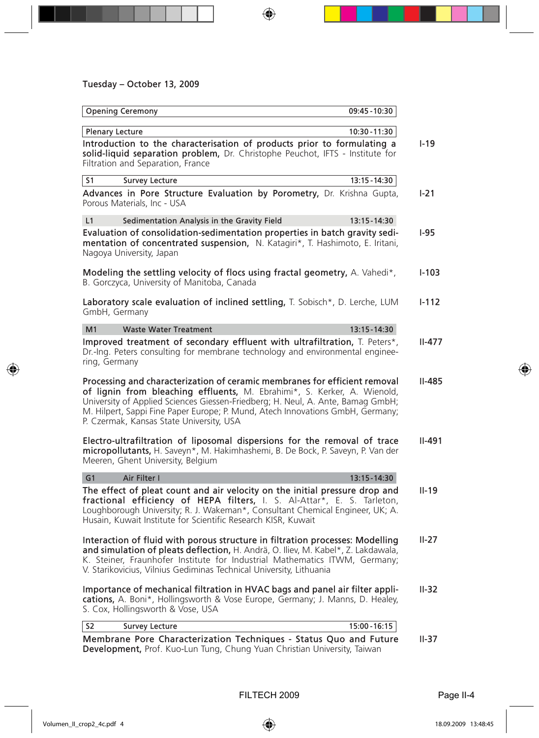### Tuesday – October 13, 2009

| 09:45 - 10:30<br><b>Opening Ceremony</b>                                                                                                                                                                                                                                                                                                                                |            |
|-------------------------------------------------------------------------------------------------------------------------------------------------------------------------------------------------------------------------------------------------------------------------------------------------------------------------------------------------------------------------|------------|
| <b>Plenary Lecture</b><br>10:30 - 11:30                                                                                                                                                                                                                                                                                                                                 |            |
| Introduction to the characterisation of products prior to formulating a<br>solid-liquid separation problem, Dr. Christophe Peuchot, IFTS - Institute for<br>Filtration and Separation, France                                                                                                                                                                           | $I-19$     |
| S <sub>1</sub><br>13:15 - 14:30<br><b>Survey Lecture</b>                                                                                                                                                                                                                                                                                                                |            |
| Advances in Pore Structure Evaluation by Porometry, Dr. Krishna Gupta,<br>Porous Materials, Inc - USA                                                                                                                                                                                                                                                                   | $1 - 21$   |
| L1<br>Sedimentation Analysis in the Gravity Field<br>13:15-14:30                                                                                                                                                                                                                                                                                                        |            |
| Evaluation of consolidation-sedimentation properties in batch gravity sedi-<br><b>mentation of concentrated suspension,</b> N. Katagiri*, T. Hashimoto, E. Iritani,<br>Nagoya University, Japan                                                                                                                                                                         | $1-95$     |
| Modeling the settling velocity of flocs using fractal geometry, A. Vahedi*,<br>B. Gorczyca, University of Manitoba, Canada                                                                                                                                                                                                                                              | $I - 103$  |
| Laboratory scale evaluation of inclined settling, $T$ . Sobisch*, D. Lerche, LUM<br>GmbH, Germany                                                                                                                                                                                                                                                                       | $1 - 112$  |
| <b>Waste Water Treatment</b><br>M <sub>1</sub><br>13:15-14:30                                                                                                                                                                                                                                                                                                           |            |
| Improved treatment of secondary effluent with ultrafiltration, T. Peters*,<br>Dr.-Ing. Peters consulting for membrane technology and environmental enginee-<br>ring, Germany                                                                                                                                                                                            | $II - 477$ |
| Processing and characterization of ceramic membranes for efficient removal<br>of lignin from bleaching effluents, M. Ebrahimi*, S. Kerker, A. Wienold,<br>University of Applied Sciences Giessen-Friedberg; H. Neul, A. Ante, Bamag GmbH;<br>M. Hilpert, Sappi Fine Paper Europe; P. Mund, Atech Innovations GmbH, Germany;<br>P. Czermak, Kansas State University, USA | $II-485$   |
| Electro-ultrafiltration of liposomal dispersions for the removal of trace<br>micropollutants, H. Saveyn*, M. Hakimhashemi, B. De Bock, P. Saveyn, P. Van der<br>Meeren, Ghent University, Belgium                                                                                                                                                                       | $II-491$   |
| G <sub>1</sub><br>Air Filter I<br>13:15-14:30                                                                                                                                                                                                                                                                                                                           |            |
| The effect of pleat count and air velocity on the initial pressure drop and<br>fractional efficiency of HEPA filters, I. S. Al-Attar*, E. S. Tarleton,<br>Loughborough University; R. J. Wakeman*, Consultant Chemical Engineer, UK; A.<br>Husain, Kuwait Institute for Scientific Research KISR, Kuwait                                                                | $II-19$    |
| Interaction of fluid with porous structure in filtration processes: Modelling<br><b>and simulation of pleats deflection,</b> H. Andrä, O. Iliev, M. Kabel*, Z. Lakdawala,<br>K. Steiner, Fraunhofer Institute for Industrial Mathematics ITWM, Germany;<br>V. Starikovicius, Vilnius Gediminas Technical University, Lithuania                                          | $II-27$    |
| Importance of mechanical filtration in HVAC bags and panel air filter appli-<br>cations, A. Boni*, Hollingsworth & Vose Europe, Germany; J. Manns, D. Healey,<br>S. Cox, Hollingsworth & Vose, USA                                                                                                                                                                      | $II-32$    |
| <b>Survey Lecture</b><br>15:00 - 16:15<br>S <sub>2</sub>                                                                                                                                                                                                                                                                                                                |            |
| Membrane Pore Characterization Techniques - Status Quo and Future<br>Development, Prof. Kuo-Lun Tung, Chung Yuan Christian University, Taiwan                                                                                                                                                                                                                           | $II-37$    |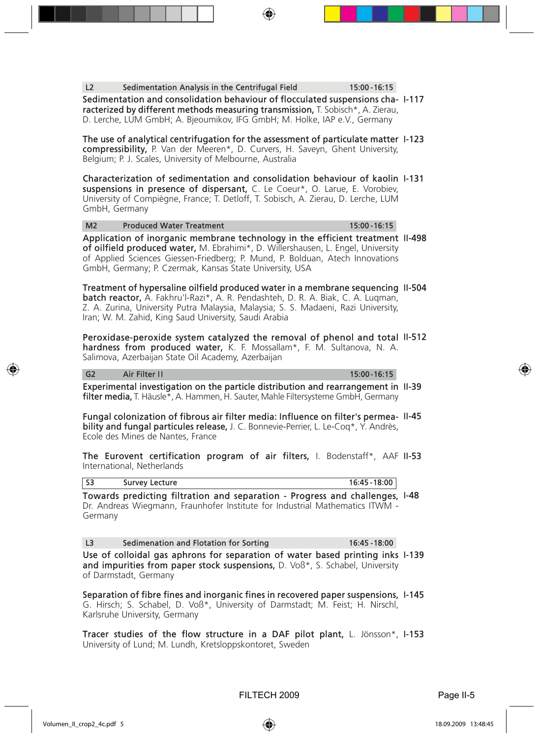#### L2 Sedimentation Analysis in the Centrifugal Field 15:00 -16:15

Sedimentation and consolidation behaviour of flocculated suspensions cha-I-117 racterized by different methods measuring transmission, T. Sobisch\*, A. Zierau, D. Lerche, LUM GmbH; A. Bjeoumikov, IFG GmbH; M. Holke, IAP e.V., Germany

The use of analytical centrifugation for the assessment of particulate matter I-123 compressibility, P. Van der Meeren\*, D. Curvers, H. Saveyn, Ghent University, Belgium; P. J. Scales, University of Melbourne, Australia

Characterization of sedimentation and consolidation behaviour of kaolin I-131 suspensions in presence of dispersant, C. Le Coeur\*, O. Larue, E. Vorobiev, University of Compiègne, France; T. Detloff, T. Sobisch, A. Zierau, D. Lerche, LUM GmbH, Germany

#### M2 Produced Water Treatment 15:00 -16:15

Application of inorganic membrane technology in the efficient treatment II-498 of oilfield produced water, M. Ebrahimi\*, D. Willershausen, L. Engel, University of Applied Sciences Giessen-Friedberg; P. Mund, P. Bolduan, Atech Innovations GmbH, Germany; P. Czermak, Kansas State University, USA

Treatment of hypersaline oilfield produced water in a membrane sequencing II-504 batch reactor, A. Fakhru'l-Razi\*, A. R. Pendashteh, D. R. A. Biak, C. A. Luqman, Z. A. Zurina, University Putra Malaysia, Malaysia; S. S. Madaeni, Razi University, Iran; W. M. Zahid, King Saud University, Saudi Arabia

Peroxidase-peroxide system catalyzed the removal of phenol and total II-512 hardness from produced water, K. F. Mossallam\*, F. M. Sultanova, N. A. Salimova, Azerbaijan State Oil Academy, Azerbaijan

#### G2 Air Filter II 15:00-16:15

Germany

Experimental investigation on the particle distribution and rearrangement in II-39 filter media, T. Häusle\*, A. Hammen, H. Sauter, Mahle Filtersysteme GmbH, Germany

Fungal colonization of fibrous air filter media: Influence on filter's permea- II-45 bility and fungal particules release, J. C. Bonnevie-Perrier, L. Le-Coq\*, Y. Andrès, Ecole des Mines de Nantes, France

The Eurovent certification program of air filters, I. Bodenstaff\*, AAF II-53 International, Netherlands

| <b>S3</b> | Survey Lecture                                                               | $16:45 - 18:00$ |  |
|-----------|------------------------------------------------------------------------------|-----------------|--|
|           | Towards predicting filtration and separation - Progress and challenges, 1-48 |                 |  |
|           | Dr. Andreas Wiegmann, Fraunhofer Institute for Industrial Mathematics ITWM - |                 |  |

L3 Sedimenation and Flotation for Sorting 16:45 -18:00

Use of colloidal gas aphrons for separation of water based printing inks I-139 and impurities from paper stock suspensions, D. Voß\*, S. Schabel, University of Darmstadt, Germany

Separation of fibre fines and inorganic fines in recovered paper suspensions, I-145 G. Hirsch; S. Schabel, D. Voß\*, University of Darmstadt; M. Feist; H. Nirschl, Karlsruhe University, Germany

Tracer studies of the flow structure in a DAF pilot plant, L. Jönsson\*, I-153 University of Lund; M. Lundh, Kretsloppskontoret, Sweden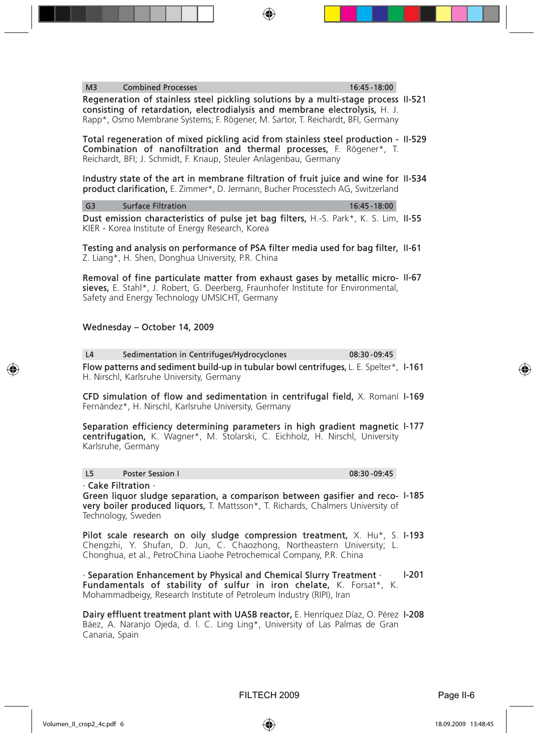#### M3 Combined Processes 16:45 -18:00

Regeneration of stainless steel pickling solutions by a multi-stage process II-521 consisting of retardation, electrodialysis and membrane electrolysis, H. J. Rapp\*, Osmo Membrane Systems; F. Rögener, M. Sartor, T. Reichardt, BFI, Germany

Total regeneration of mixed pickling acid from stainless steel production - II-529 Combination of nanofiltration and thermal processes, F. Rögener\*, T. Reichardt, BFI; J. Schmidt, F. Knaup, Steuler Anlagenbau, Germany

Industry state of the art in membrane filtration of fruit juice and wine for II-534 product clarification, E. Zimmer\*, D. Jermann, Bucher Processtech AG, Switzerland

G3 Surface Filtration 16:45 -18:00

Dust emission characteristics of pulse jet bag filters, H.-S. Park\*, K. S. Lim, II-55 KIER - Korea Institute of Energy Research, Korea

Testing and analysis on performance of PSA filter media used for bag filter, II-61 Z. Liang\*, H. Shen, Donghua University, P.R. China

Removal of fine particulate matter from exhaust gases by metallic micro-II-67 sieves, E. Stahl\*, J. Robert, G. Deerberg, Fraunhofer Institute for Environmental, Safety and Energy Technology UMSICHT, Germany

#### Wednesday – October 14, 2009

Flow patterns and sediment build-up in tubular bowl centrifuges, L. E. Spelter\*, I-161 L4 Sedimentation in Centrifuges/Hydrocyclones 08:30 -09:45

H. Nirschl, Karlsruhe University, Germany

CFD simulation of flow and sedimentation in centrifugal field, X. Romaní I-169 Fernández\*, H. Nirschl, Karlsruhe University, Germany

Separation efficiency determining parameters in high gradient magnetic I-177 centrifugation, K. Wagner\*, M. Stolarski, C. Eichholz, H. Nirschl, University Karlsruhe, Germany

#### L5 Poster Session I 08:30 -09:45

· Cake Filtration ·

Green liquor sludge separation, a comparison between gasifier and reco-I-185 very boiler produced liquors, T. Mattsson\*, T. Richards, Chalmers University of Technology, Sweden

Pilot scale research on oily sludge compression treatment, X. Hu\*, S. I-193 Chengzhi, Y. Shufan, D. Jun, C. Chaozhong, Northeastern University; L. Chonghua, et al., PetroChina Liaohe Petrochemical Company, P.R. China

· Separation Enhancement by Physical and Chemical Slurry Treatment · Fundamentals of stability of sulfur in iron chelate, K. Forsat\*, K. Mohammadbeigy, Research Institute of Petroleum Industry (RIPI), Iran I-201

Dairy effluent treatment plant with UASB reactor, E. Henríquez Díaz, O. Pérez I-208 Báez, A. Naranjo Ojeda, d. I. C. Ling Ling\*, University of Las Palmas de Gran Canaria, Spain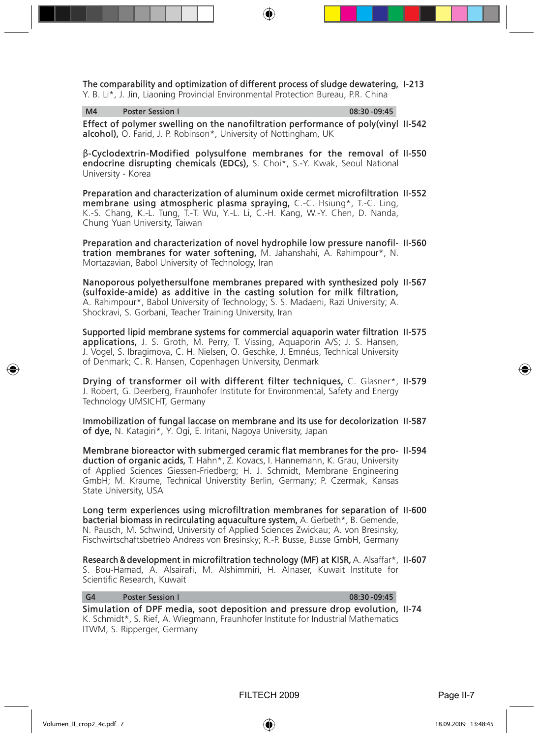The comparability and optimization of different process of sludge dewatering, I-213 Y. B. Li\*, J. Jin, Liaoning Provincial Environmental Protection Bureau, P.R. China

M4 Poster Session I 08:30 -09:45

Effect of polymer swelling on the nanofiltration performance of poly(vinyl II-542 alcohol), O. Farid, J. P. Robinson\*, University of Nottingham, UK

β-Cyclodextrin-Modified polysulfone membranes for the removal of II-550 endocrine disrupting chemicals (EDCs), S. Choi\*, S.-Y. Kwak, Seoul National University - Korea

Preparation and characterization of aluminum oxide cermet microfiltration II-552 membrane using atmospheric plasma spraying, C.-C. Hsiung\*, T.-C. Ling, K.-S. Chang, K.-L. Tung, T.-T. Wu, Y.-L. Li, C.-H. Kang, W.-Y. Chen, D. Nanda, Chung Yuan University, Taiwan

Preparation and characterization of novel hydrophile low pressure nanofil-II-560 tration membranes for water softening, M. Jahanshahi, A. Rahimpour\*, N. Mortazavian, Babol University of Technology, Iran

Nanoporous polyethersulfone membranes prepared with synthesized poly II-567 (sulfoxide-amide) as additive in the casting solution for milk filtration, A. Rahimpour\*, Babol University of Technology; S. S. Madaeni, Razi University; A. Shockravi, S. Gorbani, Teacher Training University, Iran

Supported lipid membrane systems for commercial aquaporin water filtration II-575 applications, J. S. Groth, M. Perry, T. Vissing, Aquaporin A/S; J. S. Hansen, J. Vogel, S. Ibragimova, C. H. Nielsen, O. Geschke, J. Emnéus, Technical University of Denmark; C. R. Hansen, Copenhagen University, Denmark

Drying of transformer oil with different filter techniques, C. Glasner\*, II-579 J. Robert, G. Deerberg, Fraunhofer Institute for Environmental, Safety and Energy Technology UMSICHT, Germany

Immobilization of fungal laccase on membrane and its use for decolorization II-587 of dye, N. Katagiri\*, Y. Ogi, E. Iritani, Nagoya University, Japan

Membrane bioreactor with submerged ceramic flat membranes for the pro-II-594 duction of organic acids, T. Hahn\*, Z. Kovacs, I. Hannemann, K. Grau, University of Applied Sciences Giessen-Friedberg; H. J. Schmidt, Membrane Engineering GmbH; M. Kraume, Technical Universtity Berlin, Germany; P. Czermak, Kansas State University, USA

Long term experiences using microfiltration membranes for separation of II-600 bacterial biomass in recirculating aquaculture system, A. Gerbeth\*, B. Gemende, N. Pausch, M. Schwind, University of Applied Sciences Zwickau; A. von Bresinsky, Fischwirtschaftsbetrieb Andreas von Bresinsky; R.-P. Busse, Busse GmbH, Germany

**Research & development in microfiltration technology (MF) at KISR,** A. Alsaffar\*, **II-607** S. Bou-Hamad, A. Alsairafi, M. Alshimmiri, H. Alnaser, Kuwait Institute for Scientific Research, Kuwait

| G4 | <b>Poster Session I</b> |  |
|----|-------------------------|--|
|    |                         |  |

 $08:30 - 09:45$ 

Simulation of DPF media, soot deposition and pressure drop evolution, II-74 K. Schmidt\*, S. Rief, A. Wiegmann, Fraunhofer Institute for Industrial Mathematics ITWM, S. Ripperger, Germany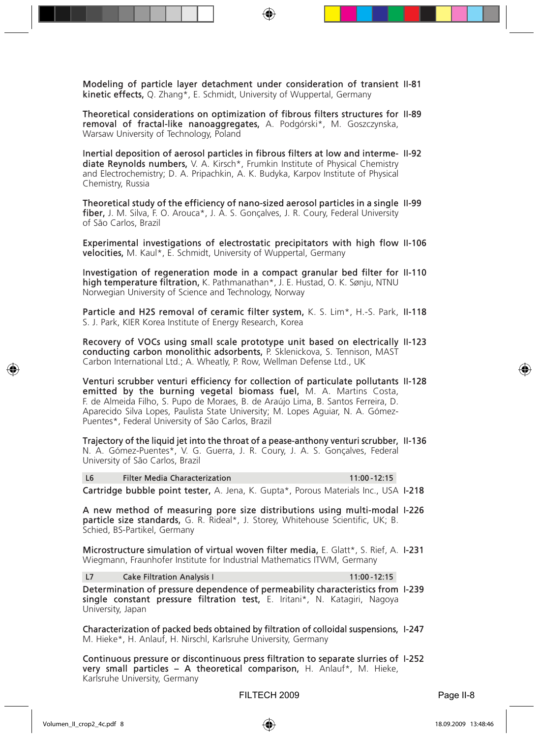Modeling of particle layer detachment under consideration of transient II-81 kinetic effects, Q. Zhang\*, E. Schmidt, University of Wuppertal, Germany

Theoretical considerations on optimization of fibrous filters structures for II-89 removal of fractal-like nanoaggregates, A. Podgórski\*, M. Goszczynska, Warsaw University of Technology, Poland

Inertial deposition of aerosol particles in fibrous filters at low and interme-II-92 diate Reynolds numbers, V. A. Kirsch\*, Frumkin Institute of Physical Chemistry and Electrochemistry; D. A. Pripachkin, A. K. Budyka, Karpov Institute of Physical Chemistry, Russia

Theoretical study of the efficiency of nano-sized aerosol particles in a single II-99 fiber, J. M. Silva, F. O. Arouca\*, J. A. S. Gonçalves, J. R. Coury, Federal University of São Carlos, Brazil

Experimental investigations of electrostatic precipitators with high flow II-106 velocities, M. Kaul\*, E. Schmidt, University of Wuppertal, Germany

Investigation of regeneration mode in a compact granular bed filter for II-110 high temperature filtration, K. Pathmanathan\*, J. E. Hustad, O. K. Sønju, NTNU Norwegian University of Science and Technology, Norway

Particle and H2S removal of ceramic filter system, K. S. Lim\*, H.-S. Park, II-118 S. J. Park, KIER Korea Institute of Energy Research, Korea

Recovery of VOCs using small scale prototype unit based on electrically II-123 conducting carbon monolithic adsorbents, P. Sklenickova, S. Tennison, MAST Carbon International Ltd.; A. Wheatly, P. Row, Wellman Defense Ltd., UK

Venturi scrubber venturi efficiency for collection of particulate pollutants II-128 emitted by the burning vegetal biomass fuel, M. A. Martins Costa, F. de Almeida Filho, S. Pupo de Moraes, B. de Araújo Lima, B. Santos Ferreira, D. Aparecido Silva Lopes, Paulista State University; M. Lopes Aguiar, N. A. Gómez-Puentes\*, Federal University of São Carlos, Brazil

Trajectory of the liquid jet into the throat of a pease-anthony venturi scrubber, II-136 N. A. Gómez-Puentes\*, V. G. Guerra, J. R. Coury, J. A. S. Gonçalves, Federal University of São Carlos, Brazil

L6 Filter Media Characterization 11:00 -12:15

Cartridge bubble point tester, A. Jena, K. Gupta\*, Porous Materials Inc., USA I-218

A new method of measuring pore size distributions using multi-modal I-226 particle size standards, G. R. Rideal\*, J. Storey, Whitehouse Scientific, UK; B. Schied, BS-Partikel, Germany

Microstructure simulation of virtual woven filter media, E. Glatt\*, S. Rief, A. I-231 Wiegmann, Fraunhofer Institute for Industrial Mathematics ITWM, Germany

L7 Cake Filtration Analysis I 11:00 -12:15

Determination of pressure dependence of permeability characteristics from I-239 single constant pressure filtration test, E. Iritani\*, N. Katagiri, Nagoya University, Japan

Characterization of packed beds obtained by filtration of colloidal suspensions, I-247 M. Hieke\*, H. Anlauf, H. Nirschl, Karlsruhe University, Germany

Continuous pressure or discontinuous press filtration to separate slurries of I-252 very small particles – A theoretical comparison, H. Anlauf\*, M. Hieke, Karlsruhe University, Germany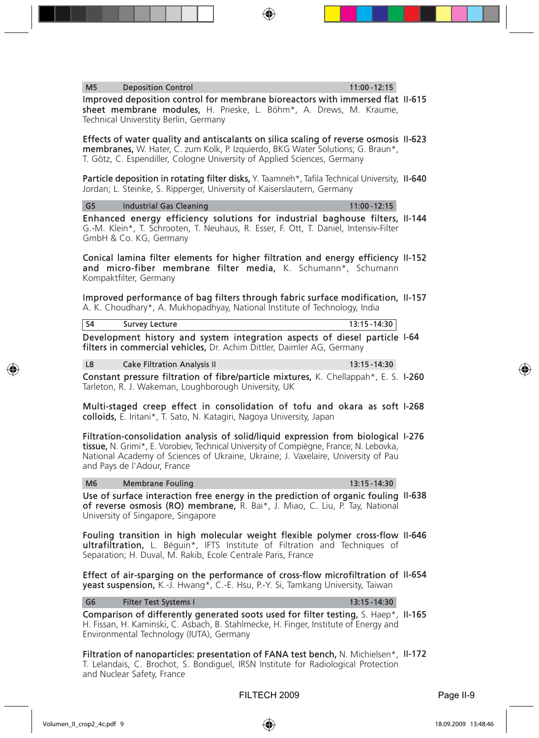#### M5 Deposition Control 11:00 -12:15

Improved deposition control for membrane bioreactors with immersed flat II-615 sheet membrane modules, H. Prieske, L. Böhm\*, A. Drews, M. Kraume, Technical Universtity Berlin, Germany

Effects of water quality and antiscalants on silica scaling of reverse osmosis II-623 membranes, W. Hater, C. zum Kolk, P. Izquierdo, BKG Water Solutions; G. Braun\*, T. Götz, C. Espendiller, Cologne University of Applied Sciences, Germany

Particle deposition in rotating filter disks, Y. Taamneh\*, Tafila Technical University, II-640 Jordan; L. Steinke, S. Ripperger, University of Kaiserslautern, Germany

#### G5 Industrial Gas Cleaning 11:00 -12:15

Enhanced energy efficiency solutions for industrial baghouse filters, II-144 G.-M. Klein\*, T. Schrooten, T. Neuhaus, R. Esser, F. Ott, T. Daniel, Intensiv-Filter GmbH & Co. KG, Germany

Conical lamina filter elements for higher filtration and energy efficiency II-152 and micro-fiber membrane filter media, K. Schumann\*, Schumann Kompaktfilter, Germany

Improved performance of bag filters through fabric surface modification, II-157 A. K. Choudhary\*, A. Mukhopadhyay, National Institute of Technology, India

| ↘△                       | Survey Lecture |  |  |  |  | 13:15 - 14:30 |  |
|--------------------------|----------------|--|--|--|--|---------------|--|
| $\overline{\phantom{0}}$ |                |  |  |  |  |               |  |

Development history and system integration aspects of diesel particle I-64 filters in commercial vehicles, Dr. Achim Dittler, Daimler AG, Germany

L8 Cake Filtration Analysis II 13:15 - 14:30

Constant pressure filtration of fibre/particle mixtures, K. Chellappah\*, E. S. I-260 Tarleton, R. J. Wakeman, Loughborough University, UK

Multi-staged creep effect in consolidation of tofu and okara as soft I-268 colloids, E. Iritani\*, T. Sato, N. Katagiri, Nagoya University, Japan

Filtration-consolidation analysis of solid/liquid expression from biological I-276 tissue, N. Grimi\*, E. Vorobiev, Technical University of Compiègne, France; N. Lebovka, National Academy of Sciences of Ukraine, Ukraine; J. Vaxelaire, University of Pau and Pays de l'Adour, France

#### M6 Membrane Fouling 13:15 - 14:30

Use of surface interaction free energy in the prediction of organic fouling II-638 of reverse osmosis (RO) membrane, R. Bai\*, J. Miao, C. Liu, P. Tay, National University of Singapore, Singapore

Fouling transition in high molecular weight flexible polymer cross-flow II-646 ultrafiltration, L. Béguin\*, IFTS Institute of Filtration and Techniques of Separation; H. Duval, M. Rakib, Ecole Centrale Paris, France

Effect of air-sparging on the performance of cross-flow microfiltration of II-654 yeast suspension, K.-J. Hwang\*, C.-E. Hsu, P.-Y. Si, Tamkang University, Taiwan

#### G6 Filter Test Systems I 13:15 - 13:15 - 14:30

Comparison of differently generated soots used for filter testing, S. Haep\*, II-165 H. Fissan, H. Kaminski, C. Asbach, B. Stahlmecke, H. Finger, Institute of Energy and Environmental Technology (IUTA), Germany

Filtration of nanoparticles: presentation of FANA test bench, N. Michielsen\*, II-172 T. Lelandais, C. Brochot, S. Bondiguel, IRSN Institute for Radiological Protection and Nuclear Safety, France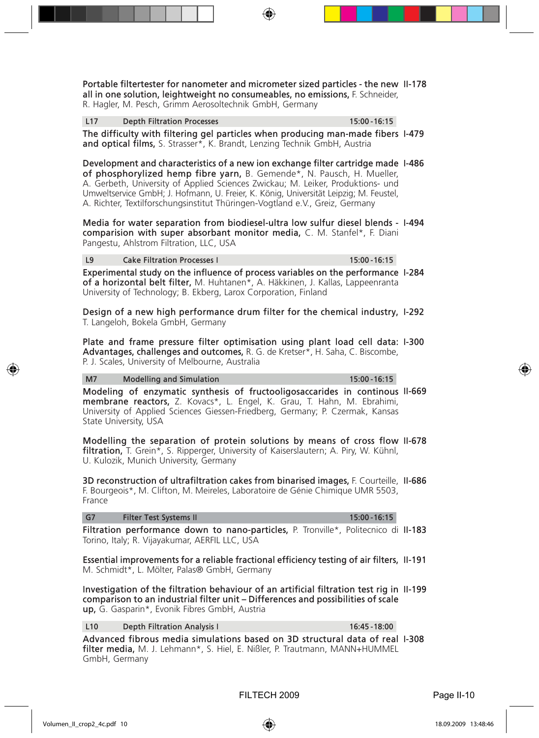Portable filtertester for nanometer and micrometer sized particles - the new II-178 all in one solution, leightweight no consumeables, no emissions, F. Schneider, R. Hagler, M. Pesch, Grimm Aerosoltechnik GmbH, Germany

L17 Depth Filtration Processes 15:00 -16:15

The difficulty with filtering gel particles when producing man-made fibers I-479 and optical films, S. Strasser\*, K. Brandt, Lenzing Technik GmbH, Austria

Development and characteristics of a new ion exchange filter cartridge made I-486 of phosphorylized hemp fibre yarn, B. Gemende\*, N. Pausch, H. Mueller, A. Gerbeth, University of Applied Sciences Zwickau; M. Leiker, Produktions- und Umweltservice GmbH; J. Hofmann, U. Freier, K. König, Universität Leipzig; M. Feustel, A. Richter, Textilforschungsinstitut Thüringen-Vogtland e.V., Greiz, Germany

Media for water separation from biodiesel-ultra low sulfur diesel blends - I-494 comparision with super absorbant monitor media, C. M. Stanfel\*, F. Diani Pangestu, Ahlstrom Filtration, LLC, USA

L9 Cake Filtration Processes I 15:00 - 16:15

Experimental study on the influence of process variables on the performance I-284 of a horizontal belt filter, M. Huhtanen\*, A. Häkkinen, J. Kallas, Lappeenranta University of Technology; B. Ekberg, Larox Corporation, Finland

Design of a new high performance drum filter for the chemical industry, I-292 T. Langeloh, Bokela GmbH, Germany

Plate and frame pressure filter optimisation using plant load cell data: I-300 Advantages, challenges and outcomes, R. G. de Kretser\*, H. Saha, C. Biscombe, P. J. Scales, University of Melbourne, Australia

M7 Modelling and Simulation 15:00 - 16:15

Modeling of enzymatic synthesis of fructooligosaccarides in continous II-669 membrane reactors, Z. Kovacs\*, L. Engel, K. Grau, T. Hahn, M. Ebrahimi, University of Applied Sciences Giessen-Friedberg, Germany; P. Czermak, Kansas State University, USA

Modelling the separation of protein solutions by means of cross flow II-678 filtration, T. Grein\*, S. Ripperger, University of Kaiserslautern; A. Piry, W. Kühnl, U. Kulozik, Munich University, Germany

3D reconstruction of ultrafiltration cakes from binarised images, F. Courteille, II-686 F. Bourgeois\*, M. Clifton, M. Meireles, Laboratoire de Génie Chimique UMR 5503, France

#### G7 Filter Test Systems II 15:00 -16:15

Filtration performance down to nano-particles, P. Tronville\*, Politecnico di II-183 Torino, Italy; R. Vijayakumar, AERFIL LLC, USA

Essential improvements for a reliable fractional efficiency testing of air filters, II-191 M. Schmidt\*, L. Mölter, Palas® GmbH, Germany

Investigation of the filtration behaviour of an artificial filtration test rig in II-199 comparison to an industrial filter unit – Differences and possibilities of scale up, G. Gasparin\*, Evonik Fibres GmbH, Austria

L10 Depth Filtration Analysis I 16:45 - 16:45 - 18:00

Advanced fibrous media simulations based on 3D structural data of real I-308 filter media, M. J. Lehmann\*, S. Hiel, E. Nißler, P. Trautmann, MANN+HUMMEL GmbH, Germany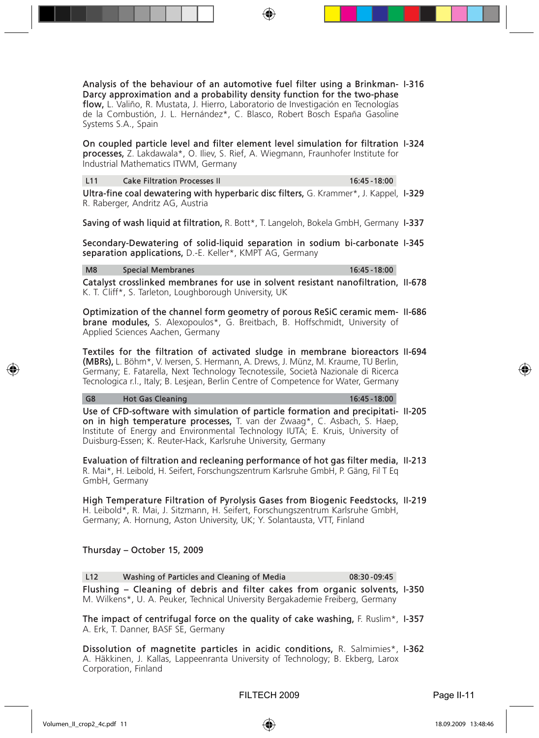Analysis of the behaviour of an automotive fuel filter using a Brinkman-I-316 Darcy approximation and a probability density function for the two-phase flow, L. Valiño, R. Mustata, J. Hierro, Laboratorio de Investigación en Tecnologías de la Combustión, J. L. Hernández\*, C. Blasco, Robert Bosch España Gasoline Systems S.A., Spain

On coupled particle level and filter element level simulation for filtration I-324 processes, Z. Lakdawala\*, O. Iliev, S. Rief, A. Wiegmann, Fraunhofer Institute for Industrial Mathematics ITWM, Germany

#### L11 Cake Filtration Processes II 16:45 -18:00

Ultra-fine coal dewatering with hyperbaric disc filters, G. Krammer\*, J. Kappel, I-329 R. Raberger, Andritz AG, Austria

Saving of wash liquid at filtration, R. Bott\*, T. Langeloh, Bokela GmbH, Germany I-337

Secondary-Dewatering of solid-liquid separation in sodium bi-carbonate I-345 separation applications, D.-E. Keller\*, KMPT AG, Germany

#### M8 Special Membranes 16:45 -18:00

Catalyst crosslinked membranes for use in solvent resistant nanofiltration, II-678 K. T. Cliff\*, S. Tarleton, Loughborough University, UK

Optimization of the channel form geometry of porous ReSiC ceramic mem-II-686 brane modules, S. Alexopoulos\*, G. Breitbach, B. Hoffschmidt, University of Applied Sciences Aachen, Germany

Textiles for the filtration of activated sludge in membrane bioreactors II-694 (MBRs), L. Böhm\*, V. Iversen, S. Hermann, A. Drews, J. Münz, M. Kraume, TU Berlin, Germany; E. Fatarella, Next Technology Tecnotessile, Società Nazionale di Ricerca Tecnologica r.l., Italy; B. Lesjean, Berlin Centre of Competence for Water, Germany

#### G8 Hot Gas Cleaning 16:45 -18:00

Use of CFD-software with simulation of particle formation and precipitati-II-205 on in high temperature processes, T. van der Zwaag\*, C. Asbach, S. Haep, Institute of Energy and Environmental Technology IUTA; E. Kruis, University of Duisburg-Essen; K. Reuter-Hack, Karlsruhe University, Germany

Evaluation of filtration and recleaning performance of hot gas filter media, II-213 R. Mai\*, H. Leibold, H. Seifert, Forschungszentrum Karlsruhe GmbH, P. Gäng, Fil T Eq GmbH, Germany

#### High Temperature Filtration of Pyrolysis Gases from Biogenic Feedstocks, II-219 H. Leibold\*, R. Mai, J. Sitzmann, H. Seifert, Forschungszentrum Karlsruhe GmbH,

Germany; A. Hornung, Aston University, UK; Y. Solantausta, VTT, Finland

#### Thursday – October 15, 2009

Flushing – Cleaning of debris and filter cakes from organic solvents, I-350 M. Wilkens\*, U. A. Peuker, Technical University Bergakademie Freiberg, Germany L12 Washing of Particles and Cleaning of Media 08:30 -09:45

The impact of centrifugal force on the quality of cake washing, F. Ruslim\*, 1-357  $\,$ A. Erk, T. Danner, BASF SE, Germany

Dissolution of magnetite particles in acidic conditions, R. Salmimies\*, I-362 A. Häkkinen, J. Kallas, Lappeenranta University of Technology; B. Ekberg, Larox Corporation, Finland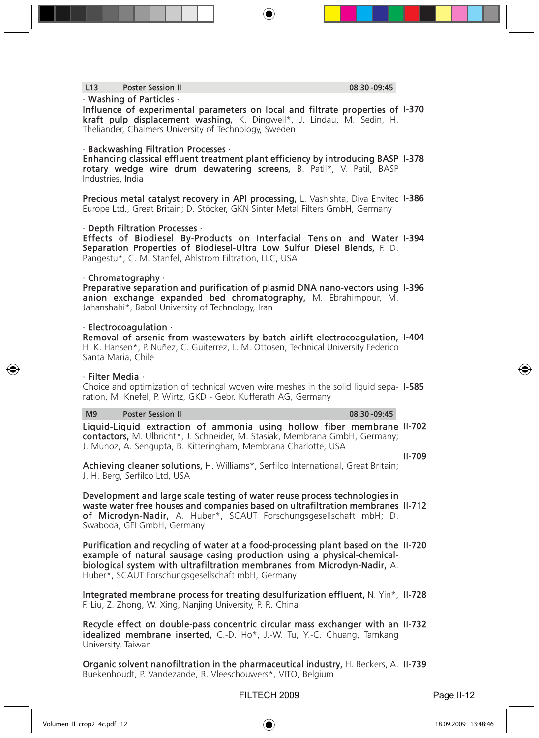#### L13 Poster Session II 08:30 -09:45

#### · Washing of Particles ·

Influence of experimental parameters on local and filtrate properties of I-370 kraft pulp displacement washing, K. Dingwell\*, J. Lindau, M. Sedin, H. Theliander, Chalmers University of Technology, Sweden

#### · Backwashing Filtration Processes ·

Enhancing classical effluent treatment plant efficiency by introducing BASP I-378 rotary wedge wire drum dewatering screens, B. Patil\*, V. Patil, BASP Industries, India

Precious metal catalyst recovery in API processing, L. Vashishta, Diva Envitec I-386 Europe Ltd., Great Britain; D. Stöcker, GKN Sinter Metal Filters GmbH, Germany

#### · Depth Filtration Processes ·

Effects of Biodiesel By-Products on Interfacial Tension and Water I-394 Separation Properties of Biodiesel-Ultra Low Sulfur Diesel Blends, F. D. Pangestu\*, C. M. Stanfel, Ahlstrom Filtration, LLC, USA

#### · Chromatography ·

Preparative separation and purification of plasmid DNA nano-vectors using I-396 anion exchange expanded bed chromatography, M. Ebrahimpour, M. Jahanshahi\*, Babol University of Technology, Iran

#### · Electrocoagulation ·

Removal of arsenic from wastewaters by batch airlift electrocoagulation, I-404 H. K. Hansen\*, P. Nuñez, C. Guiterrez, L. M. Ottosen, Technical University Federico Santa Maria, Chile

#### · Filter Media ·

Choice and optimization of technical woven wire meshes in the solid liquid sepa-I-585 ration, M. Knefel, P. Wirtz, GKD - Gebr. Kufferath AG, Germany

#### M9 Poster Session II 08:30 -09:45

Liquid-Liquid extraction of ammonia using hollow fiber membrane II-702 contactors, M. Ulbricht\*, J. Schneider, M. Stasiak, Membrana GmbH, Germany; J. Munoz, A. Sengupta, B. Kitteringham, Membrana Charlotte, USA

II-709

Achieving cleaner solutions, H. Williams\*, Serfilco International, Great Britain; J. H. Berg, Serfilco Ltd, USA

Development and large scale testing of water reuse process technologies in waste water free houses and companies based on ultrafiltration membranes II-712 of Microdyn-Nadir, A. Huber\*, SCAUT Forschungsgesellschaft mbH; D. Swaboda, GFI GmbH, Germany

Purification and recycling of water at a food-processing plant based on the II-720 example of natural sausage casing production using a physical-chemicalbiological system with ultrafiltration membranes from Microdyn-Nadir, A. Huber\*, SCAUT Forschungsgesellschaft mbH, Germany

Integrated membrane process for treating desulfurization effluent, N. Yin\*, II-728 F. Liu, Z. Zhong, W. Xing, Nanjing University, P. R. China

Recycle effect on double-pass concentric circular mass exchanger with an II-732 idealized membrane inserted, C.-D. Ho\*, J.-W. Tu, Y.-C. Chuang, Tamkang University, Taiwan

Organic solvent nanofiltration in the pharmaceutical industry, H. Beckers, A. II-739 Buekenhoudt, P. Vandezande, R. Vleeschouwers\*, VITO, Belgium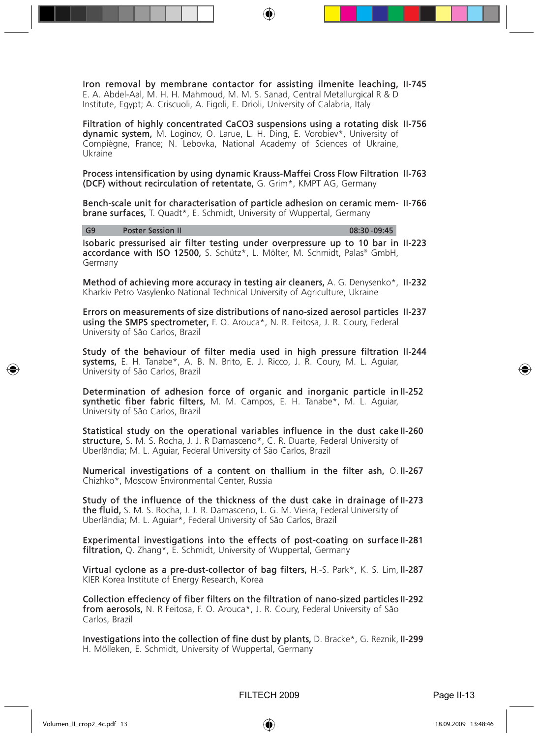Iron removal by membrane contactor for assisting ilmenite leaching, II-745 E. A. Abdel-Aal, M. H. H. Mahmoud, M. M. S. Sanad, Central Metallurgical R & D Institute, Egypt; A. Criscuoli, A. Figoli, E. Drioli, University of Calabria, Italy

Filtration of highly concentrated CaCO3 suspensions using a rotating disk II-756 dynamic system, M. Loginov, O. Larue, L. H. Ding, E. Vorobiev\*, University of Compiègne, France; N. Lebovka, National Academy of Sciences of Ukraine, Ukraine

Process intensification by using dynamic Krauss-Maffei Cross Flow Filtration II-763 (DCF) without recirculation of retentate, G. Grim\*, KMPT AG, Germany

Bench-scale unit for characterisation of particle adhesion on ceramic mem-II-766 brane surfaces, T. Quadt\*, E. Schmidt, University of Wuppertal, Germany

G9 Poster Session II 08:30 -09:45

Isobaric pressurised air filter testing under overpressure up to 10 bar in II-223 accordance with ISO 12500, S. Schütz\*, L. Mölter, M. Schmidt, Palas® GmbH, Germany

Method of achieving more accuracy in testing air cleaners, A. G. Denysenko\*, II-232 Kharkiv Petro Vasylenko National Technical University of Agriculture, Ukraine

Errors on measurements of size distributions of nano-sized aerosol particles II-237 using the SMPS spectrometer, F. O. Arouca\*, N. R. Feitosa, J. R. Coury, Federal University of São Carlos, Brazil

Study of the behaviour of filter media used in high pressure filtration II-244 systems, E. H. Tanabe\*, A. B. N. Brito, E. J. Ricco, J. R. Coury, M. L. Aguiar, University of São Carlos, Brazil

Determination of adhesion force of organic and inorganic particle in II-252 synthetic fiber fabric filters, M. M. Campos, E. H. Tanabe\*, M. L. Aguiar, University of São Carlos, Brazil

Statistical study on the operational variables influence in the dust cake II-260 structure, S. M. S. Rocha, J. J. R Damasceno\*, C. R. Duarte, Federal University of Uberlândia; M. L. Aguiar, Federal University of São Carlos, Brazil

Numerical investigations of a content on thallium in the filter ash, O. II-267 Chizhko\*, Moscow Environmental Center, Russia

Study of the influence of the thickness of the dust cake in drainage of II-273 the fluid, S. M. S. Rocha, J. J. R. Damasceno, L. G. M. Vieira, Federal University of Uberlândia; M. L. Aguiar\*, Federal University of São Carlos, Brazil

Experimental investigations into the effects of post-coating on surface II-281 filtration, Q. Zhang\*, E. Schmidt, University of Wuppertal, Germany

Virtual cyclone as a pre-dust-collector of bag filters, H.-S. Park\*, K. S. Lim, II-287 KIER Korea Institute of Energy Research, Korea

Collection effeciency of fiber filters on the filtration of nano-sized particles II-292 from aerosols, N. R Feitosa, F. O. Arouca\*, J. R. Coury, Federal University of São Carlos, Brazil

Investigations into the collection of fine dust by plants, D. Bracke\*, G. Reznik, II-299 H. Mölleken, E. Schmidt, University of Wuppertal, Germany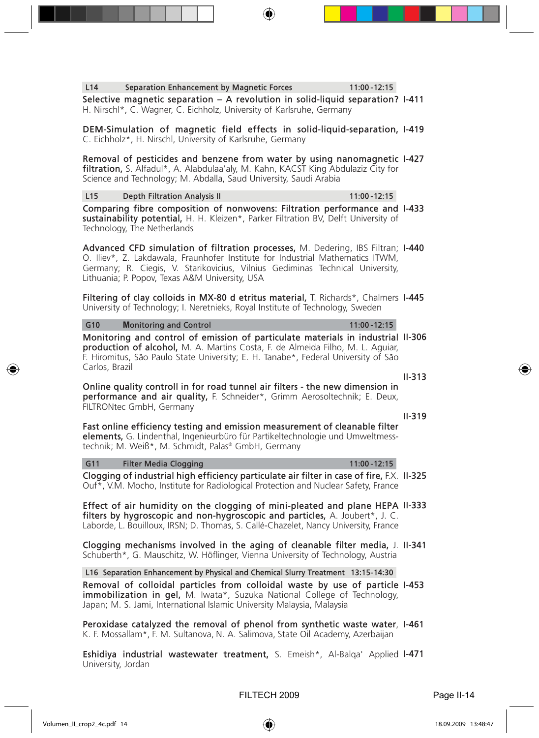#### L14 Separation Enhancement by Magnetic Forces 11:00 -12:15

Selective magnetic separation – A revolution in solid-liquid separation? I-411 H. Nirschl\*, C. Wagner, C. Eichholz, University of Karlsruhe, Germany

DEM-Simulation of magnetic field effects in solid-liquid-separation, I-419 C. Eichholz\*, H. Nirschl, University of Karlsruhe, Germany

Removal of pesticides and benzene from water by using nanomagnetic I-427 filtration, S. Alfadul\*, A. Alabdulaa'aly, M. Kahn, KACST King Abdulaziz City for Science and Technology; M. Abdalla, Saud University, Saudi Arabia

Comparing fibre composition of nonwovens: Filtration performance and I-433 sustainability potential, H. H. Kleizen\*, Parker Filtration BV, Delft University of Technology, The Netherlands L15 Depth Filtration Analysis II 11:00 -12:15

Advanced CFD simulation of filtration processes, M. Dedering, IBS Filtran; I-440 O. Iliev\*, Z. Lakdawala, Fraunhofer Institute for Industrial Mathematics ITWM, Germany; R. Ciegis, V. Starikovicius, Vilnius Gediminas Technical University, Lithuania; P. Popov, Texas A&M University, USA

Filtering of clay colloids in MX-80 d etritus material, T. Richards\*, Chalmers I-445 University of Technology; I. Neretnieks, Royal Institute of Technology, Sweden

#### G10 **Monitoring and Control** 11:00 -12:15

Monitoring and control of emission of particulate materials in industrial II-306 production of alcohol, M. A. Martins Costa, F. de Almeida Filho, M. L. Aguiar, F. Hiromitus, São Paulo State University; E. H. Tanabe\*, Federal University of São Carlos, Brazil

Online quality controll in for road tunnel air filters - the new dimension in performance and air quality, F. Schneider\*, Grimm Aerosoltechnik; E. Deux, FILTRONtec GmbH, Germany

Fast online efficiency testing and emission measurement of cleanable filter elements, G. Lindenthal, Ingenieurbüro für Partikeltechnologie und Umweltmesstechnik; M. Weiß\*, M. Schmidt, Palas® GmbH, Germany II-319

#### G11 Filter Media Clogging 11:00 -12:15

Clogging of industrial high efficiency particulate air filter in case of fire, F.X. II-325 Ouf\*, V.M. Mocho, Institute for Radiological Protection and Nuclear Safety, France

Effect of air humidity on the clogging of mini-pleated and plane HEPA II-333 filters by hygroscopic and non-hygroscopic and particles, A. Joubert\*, J. C. Laborde, L. Bouilloux, IRSN; D. Thomas, S. Callé-Chazelet, Nancy University, France

Clogging mechanisms involved in the aging of cleanable filter media, J. II-341 Schuberth\*, G. Mauschitz, W. Höflinger, Vienna University of Technology, Austria

L16 Separation Enhancement by Physical and Chemical Slurry Treatment 13:15-14:30

Removal of colloidal particles from colloidal waste by use of particle I-453 immobilization in gel, M. Iwata\*, Suzuka National College of Technology, Japan; M. S. Jami, International Islamic University Malaysia, Malaysia

Peroxidase catalyzed the removal of phenol from synthetic waste water, I-461 K. F. Mossallam\*, F. M. Sultanova, N. A. Salimova, State Oil Academy, Azerbaijan

Eshidiya industrial wastewater treatment, S. Emeish\*, Al-Balqa' Applied I-471 University, Jordan

II-313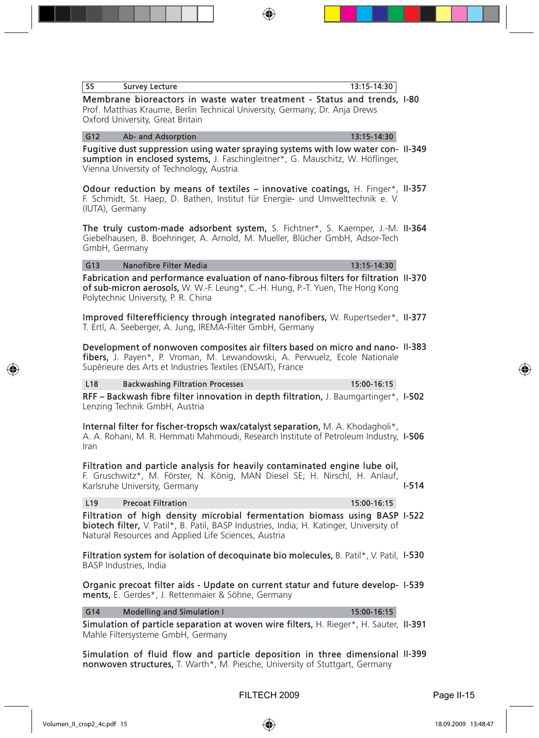| Prof. Matthias Kraume, Berlin Technical University, Germany; Dr. Anja Drews<br>Oxford University, Great Britain                                                                                                       |
|-----------------------------------------------------------------------------------------------------------------------------------------------------------------------------------------------------------------------|
| G12<br>Ab- and Adsorption<br>13:15-14:30                                                                                                                                                                              |
| Fugitive dust suppression using water spraying systems with low water cor<br>sumption in enclosed systems, J. Faschingleitner*, G. Mauschitz, W. Höflinge<br>Vienna University of Technology, Austria                 |
| Odour reduction by means of textiles - innovative coatings, H. Finger<br>F. Schmidt, St. Haep, D. Bathen, Institut für Energie- und Umwelttechnik e.<br>(IUTA), Germany                                               |
| The truly custom-made adsorbent system, S. Fichtner*, S. Kaemper, J.-N<br>Giebelhausen, B. Boehringer, A. Arnold, M. Mueller, Blücher GmbH, Adsor-Tec<br>GmbH, Germany                                                |
| Nanofibre Filter Media<br>G13<br>13:15-14:30                                                                                                                                                                          |
| Fabrication and performance evaluation of nano-fibrous filters for filtratio<br>of sub-micron aerosols, W. W.-F. Leung*, C.-H. Hung, P.-T. Yuen, The Hong Kon<br>Polytechnic University, P. R. China                  |
| Improved filterefficiency through integrated nanofibers, W. Rupertseder<br>T. Ertl, A. Seeberger, A. Jung, IREMA-Filter GmbH, Germany                                                                                 |
| Development of nonwoven composites air filters based on micro and nand<br>fibers, J. Payen*, P. Vroman, M. Lewandowski, A. Perwuelz, Ecole Nationa<br>Supérieure des Arts et Industries Textiles (ENSAIT), France     |
| 15:00-16:15<br>L <sub>18</sub><br><b>Backwashing Filtration Processes</b>                                                                                                                                             |
| RFF – Backwash fibre filter innovation in depth filtration, J. Baumgartinger<br>Lenzing Technik GmbH, Austria                                                                                                         |
| Internal filter for fischer-tropsch wax/catalyst separation, M. A. Khodagholi<br>A. A. Rohani, M. R. Hemmati Mahmoudi, Research Institute of Petroleum Industr<br>Iran                                                |
| Filtration and particle analysis for heavily contaminated engine lube oi<br>F. Gruschwitz*, M. Förster, N. König, MAN Diesel SE; H. Nirschl, H. Anlau<br>Karlsruhe University, Germany                                |
| L19<br><b>Precoat Filtration</b><br>15:00-16:15                                                                                                                                                                       |
| Filtration of high density microbial fermentation biomass using BAS<br>biotech filter, V. Patil*, B. Patil, BASP Industries, India; H. Katinger, University o<br>Natural Resources and Applied Life Sciences, Austria |
| Filtration system for isolation of decoquinate bio molecules, B. Patil*, V. Pat<br><b>BASP Industries, India</b>                                                                                                      |
| Organic precoat filter aids - Update on current statur and future develop<br>ments, E. Gerdes*, J. Rettenmaier & Söhne, Germany                                                                                       |
| Modelling and Simulation I<br>15:00-16:15<br>G14                                                                                                                                                                      |
| Cinculation of nontials conception of usersen wise filters. U. Discort U. Coute                                                                                                                                       |

Membrane bioreactors in waste water treatment - Status and trends, I-80

Fugitive dust suppression using water spraying systems with low water consumption in enclosed systems, J. Faschingleitner\*, G. Mauschitz, W. Höflinger, Vienna University of Technology, Austria con- II-349

Odour reduction by means of textiles – innovative coatings, H. Finger\*, F. Schmidt, St. Haep, D. Bathen, Institut für Energie- und Umwelttechnik e. V. (IUTA), Germany ger\*, II-357

The truly custom-made adsorbent system, S. Fichtner\*, S. Kaemper, J.-M. Giebelhausen, B. Boehringer, A. Arnold, M. Mueller, Blücher GmbH, Adsor-Tech GmbH, Germany J.-M. II-364

Fabrication and performance evaluation of nano-fibrous filters for filtration of sub-micron aerosols, W. W.-F. Leung\*, C.-H. Hung, P.-T. Yuen, The Hong Kong Polytechnic University, P. R. China ation II-370

Improved filterefficiency through integrated nanofibers, W. Rupertseder\*, T. Ertl, A. Seeberger, A. Jung, IREMA-Filter GmbH, Germany der\*, II-377

Development of nonwoven composites air filters based on micro and nanofibers, J. Payen\*, P. Vroman, M. Lewandowski, A. Perwuelz, Ecole Nationale Supérieure des Arts et Industries Textiles (ENSAIT), France ano- Il-383

RFF – Backwash fibre filter innovation in depth filtration, J. Baumgartinger\*, ger\*, I-502

Internal filter for fischer-tropsch wax/catalyst separation, M. A. Khodagholi\*, A. A. Rohani, M. R. Hemmati Mahmoudi, Research Institute of Petroleum Industry,  $\overline{1}$ ustry, I-506

Filtration and particle analysis for heavily contaminated engine lube oil, F. Gruschwitz\*, M. Förster, N. König, MAN Diesel SE; H. Nirschl, H. Anlauf, Karlsruhe University, Germany I-514

#### ľ

Filtration of high density microbial fermentation biomass using BASP **biotech filter,** V. Patil\*, B. Patil, BASP Industries, India; H. Katinger, University of Natural Resources and Applied Life Sciences, Austria BASP 1-522

Filtration system for isolation of decoquinate bio molecules, B. Patil\*, V. Patil, BASP Industries, India Patil, **I-530** 

Organic precoat filter aids - Update on current statur and future developments, E. Gerdes\*, J. Rettenmaier & Söhne, Germany elop- 1-539

Simulation of particle separation at woven wire filters, H. Rieger\*, H. Sauter, II-391 Mahle Filtersysteme GmbH, Germany

Simulation of fluid flow and particle deposition in three dimensional II-399 nonwoven structures, T. Warth\*, M. Piesche, University of Stuttgart, Germany

Survey Lecture 13:15-14:30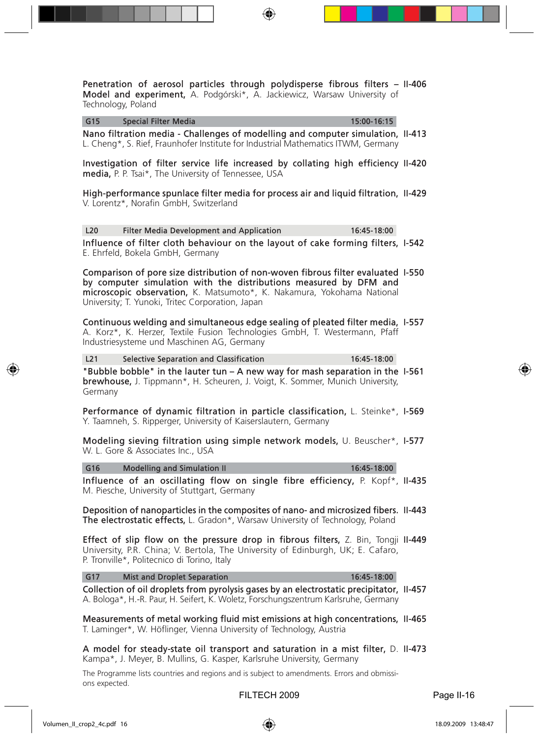Penetration of aerosol particles through polydisperse fibrous filters – II-406 Model and experiment, A. Podgórski\*, A. Jackiewicz, Warsaw University of Technology, Poland

G15 Special Filter Media 15:00-16:15

|                                                                                                                                                                                                                                                                                     | <u>u i j</u><br><b>SPECIAL FILLEL IVIEUIA</b>                                                                                                                        | 15.UU <sup>-</sup> 10.IS |  |  |  |
|-------------------------------------------------------------------------------------------------------------------------------------------------------------------------------------------------------------------------------------------------------------------------------------|----------------------------------------------------------------------------------------------------------------------------------------------------------------------|--------------------------|--|--|--|
|                                                                                                                                                                                                                                                                                     | Nano filtration media - Challenges of modelling and computer simulation, II-413<br>L. Cheng*, S. Rief, Fraunhofer Institute for Industrial Mathematics ITWM, Germany |                          |  |  |  |
|                                                                                                                                                                                                                                                                                     | Investigation of filter service life increased by collating high efficiency II-420<br><b>media, P. P. Tsai*, The University of Tennessee, USA</b>                    |                          |  |  |  |
|                                                                                                                                                                                                                                                                                     | High-performance spunlace filter media for process air and liquid filtration, II-429<br>V. Lorentz*, Norafin GmbH, Switzerland                                       |                          |  |  |  |
|                                                                                                                                                                                                                                                                                     | Filter Media Development and Application<br>L20                                                                                                                      | 16:45-18:00              |  |  |  |
|                                                                                                                                                                                                                                                                                     | Influence of filter cloth behaviour on the layout of cake forming filters, 1-542<br>E. Ehrfeld, Bokela GmbH, Germany                                                 |                          |  |  |  |
| Comparison of pore size distribution of non-woven fibrous filter evaluated 1-550<br>by computer simulation with the distributions measured by DFM and<br>microscopic observation, K. Matsumoto*, K. Nakamura, Yokohama National<br>University; T. Yunoki, Tritec Corporation, Japan |                                                                                                                                                                      |                          |  |  |  |
|                                                                                                                                                                                                                                                                                     | Continuous welding and simultaneous edge sealing of pleated filter media. 1-557                                                                                      |                          |  |  |  |

Continuous welding and simultaneous edge sealing of pleated filter media, A. Korz\*, K. Herzer, Textile Fusion Technologies GmbH, T. Westermann, Pfaff Industriesysteme und Maschinen AG, Germany I-557

| L <sub>21</sub> | Selective Separation and Classification | 16:45-18:00 |
|-----------------|-----------------------------------------|-------------|
|                 |                                         |             |

"Bubble bobble" in the lauter tun – A new way for mash separation in the I-561 brewhouse, J. Tippmann\*, H. Scheuren, J. Voigt, K. Sommer, Munich University, Germany

Performance of dynamic filtration in particle classification, L. Steinke\*, I-569 Y. Taamneh, S. Ripperger, University of Kaiserslautern, Germany

Modeling sieving filtration using simple network models, U. Beuscher\*, I-577 W. L. Gore & Associates Inc., USA

G16 Modelling and Simulation II 16:45-18:00

Influence of an oscillating flow on single fibre efficiency, P. Kopf\*, II-435 M. Piesche, University of Stuttgart, Germany

Deposition of nanoparticles in the composites of nano- and microsized fibers. II-443 The electrostatic effects, L. Gradon\*, Warsaw University of Technology, Poland

**Effect of slip flow on the pressure drop in fibrous filters,** Z. Bin, Tongji II-449 University, P.R. China; V. Bertola, The University of Edinburgh, UK; E. Cafaro, P. Tronville\*, Politecnico di Torino, Italy

#### G17 Mist and Droplet Separation 16:45-18:00

Collection of oil droplets from pyrolysis gases by an electrostatic precipitator, II-457 A. Bologa\*, H.-R. Paur, H. Seifert, K. Woletz, Forschungszentrum Karlsruhe, Germany

Measurements of metal working fluid mist emissions at high concentrations, II-465 T. Laminger\*, W. Höflinger, Vienna University of Technology, Austria

A model for steady-state oil transport and saturation in a mist filter, D. II-473 Kampa\*, J. Meyer, B. Mullins, G. Kasper, Karlsruhe University, Germany

The Programme lists countries and regions and is subject to amendments. Errors and obmissions expected.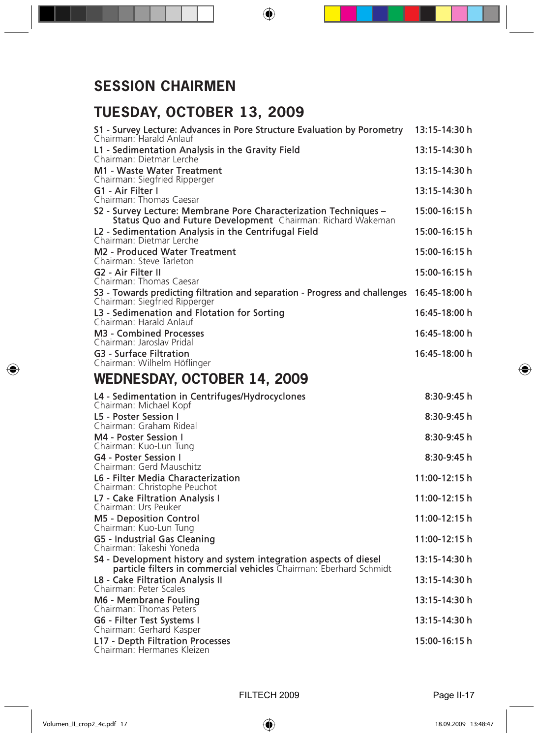## **SESSION CHAIRMEN**

## **TUESDAY, OCTOBER 13, 2009**

| S1 - Survey Lecture: Advances in Pore Structure Evaluation by Porometry<br>Chairman: Harald Anlauf                                      | 13:15-14:30 h |
|-----------------------------------------------------------------------------------------------------------------------------------------|---------------|
| L1 - Sedimentation Analysis in the Gravity Field<br>Chairman: Dietmar Lerche                                                            | 13:15-14:30 h |
| M1 - Waste Water Treatment<br>Chairman: Siegfried Ripperger                                                                             | 13:15-14:30 h |
| G1 - Air Filter I<br>Chairman: Thomas Caesar                                                                                            | 13:15-14:30 h |
| S2 - Survey Lecture: Membrane Pore Characterization Techniques -<br><b>Status Quo and Future Development</b> Chairman: Richard Wakeman  | 15:00-16:15 h |
| L2 - Sedimentation Analysis in the Centrifugal Field<br>Chairman: Dietmar Lerche                                                        | 15:00-16:15 h |
| M2 - Produced Water Treatment<br>Chairman: Steve Tarleton                                                                               | 15:00-16:15 h |
| G2 - Air Filter II<br>Chairman: Thomas Caesar                                                                                           | 15:00-16:15 h |
| S3 - Towards predicting filtration and separation - Progress and challenges<br>Chairman: Siegfried Ripperger                            | 16:45-18:00 h |
| L3 - Sedimenation and Flotation for Sorting<br>Chairman: Harald Anlauf                                                                  | 16:45-18:00 h |
| M3 - Combined Processes<br>Chairman: Jaroslav Pridal                                                                                    | 16:45-18:00 h |
| G3 - Surface Filtration<br>Chairman: Wilhelm Höflinger                                                                                  | 16:45-18:00 h |
| WEDNESDAY, OCTOBER 14, 2009                                                                                                             |               |
| L4 - Sedimentation in Centrifuges/Hydrocyclones<br>Chairman: Michael Kopf                                                               | 8:30-9:45 h   |
| L5 - Poster Session I<br>Chairman: Graham Rideal                                                                                        | 8:30-9:45 h   |
| M4 - Poster Session I<br>Chairman: Kuo-Lun Tung                                                                                         | 8:30-9:45 h   |
| G4 - Poster Session I<br>Chairman: Gerd Mauschitz                                                                                       | 8:30-9:45 h   |
| L6 - Filter Media Characterization<br>Chairman: Christophe Peuchot                                                                      | 11:00-12:15 h |
| L7 - Cake Filtration Analysis I<br>Chairman: Urs Peuker                                                                                 | 11:00-12:15 h |
| M5 - Deposition Control<br>Chairman: Kuo-Lun Tung                                                                                       | 11:00-12:15 h |
| G5 - Industrial Gas Cleaning<br>Chairman: Takeshi Yoneda                                                                                | 11:00-12:15 h |
| S4 - Development history and system integration aspects of diesel<br>particle filters in commercial vehicles Chairman: Eberhard Schmidt | 13:15-14:30 h |
| L8 - Cake Filtration Analysis II<br>Chairman: Peter Scales                                                                              | 13:15-14:30 h |
| M6 - Membrane Fouling<br>Chairman: Thomas Peters                                                                                        | 13:15-14:30 h |
| G6 - Filter Test Systems I<br>Chairman: Gerhard Kasper                                                                                  | 13:15-14:30 h |
| L17 - Depth Filtration Processes<br>Chairman: Hermanes Kleizen                                                                          | 15:00-16:15 h |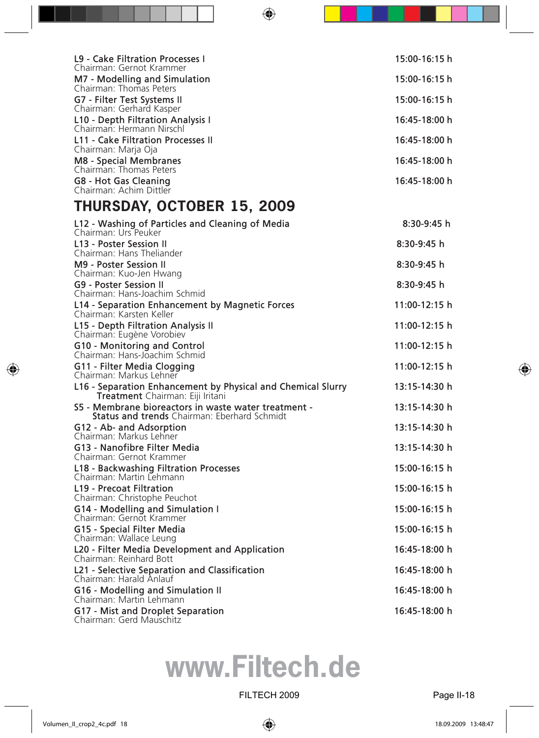| L9 - Cake Filtration Processes I<br>Chairman: Gernot Krammer               | 15:00-16:15 h |
|----------------------------------------------------------------------------|---------------|
| M7 - Modelling and Simulation<br>Chairman: Thomas Peters                   | 15:00-16:15 h |
| G7 - Filter Test Systems II<br>Chairman: Gerhard Kasper                    | 15:00-16:15 h |
| L <sub>10</sub> - Depth Filtration Analysis I<br>Chairman: Hermann Nirschl | 16:45-18:00 h |
| L11 - Cake Filtration Processes II<br>Chairman: Marja Oja                  | 16:45-18:00 h |
| M8 - Special Membranes<br>Chairman: Thomas Peters                          | 16:45-18:00 h |
| G8 - Hot Gas Cleaning<br>Chairman: Achim Dittler                           | 16:45-18:00 h |

## **THURSDAY, OCTOBER 15, 2009**

| L12 - Washing of Particles and Cleaning of Media<br>Chairman: Urs Peuker                             | $8:30-9:45$ h |
|------------------------------------------------------------------------------------------------------|---------------|
| L13 - Poster Session II                                                                              | $8:30-9:45$ h |
| Chairman: Hans Theliander<br>M9 - Poster Session II                                                  | $8:30-9:45$ h |
| Chairman: Kuo-Jen Hwang<br>G9 - Poster Session II                                                    | $8:30-9:45$ h |
| Chairman: Hans-Joachim Schmid                                                                        | 11:00-12:15 h |
| L14 - Separation Enhancement by Magnetic Forces<br>Chairman: Karsten Keller                          |               |
| L15 - Depth Filtration Analysis II<br>Chairman: Eugène Vorobiev                                      | 11:00-12:15 h |
| G10 - Monitoring and Control<br>Chairman: Hans-Joachim Schmid                                        | 11:00-12:15 h |
| G11 - Filter Media Clogging<br>Chairman: Markus Lehner                                               | 11:00-12:15 h |
| L16 - Separation Enhancement by Physical and Chemical Slurry<br>Treatment Chairman: Eiji Iritani     | 13:15-14:30 h |
| S5 - Membrane bioreactors in waste water treatment -<br>Status and trends Chairman: Eberhard Schmidt | 13:15-14:30 h |
| G12 - Ab- and Adsorption<br>Chairman: Markus Lehner                                                  | 13:15-14:30 h |
| G13 - Nanofibre Filter Media<br>Chairman: Gernot Krammer                                             | 13:15-14:30 h |
| L18 - Backwashing Filtration Processes                                                               | 15:00-16:15 h |
| Chairman: Martin Lehmann<br>L19 - Precoat Filtration                                                 | 15:00-16:15 h |
| Chairman: Christophe Peuchot<br>G14 - Modelling and Simulation I                                     | 15:00-16:15 h |
| Chairman: Gernot Krammer<br>G15 - Special Filter Media                                               | 15:00-16:15 h |
| Chairman: Wallace Leung<br>L20 - Filter Media Development and Application<br>Chairman: Reinhard Bott | 16:45-18:00 h |
| L21 - Selective Separation and Classification<br>Chairman: Harald Anlauf                             | 16:45-18:00 h |
| G16 - Modelling and Simulation II                                                                    | 16:45-18:00 h |
| Chairman: Martin Lehmann<br>G17 - Mist and Droplet Separation                                        | 16:45-18:00 h |
| Chairman: Gerd Mauschitz                                                                             |               |

# **www.Filtech.de**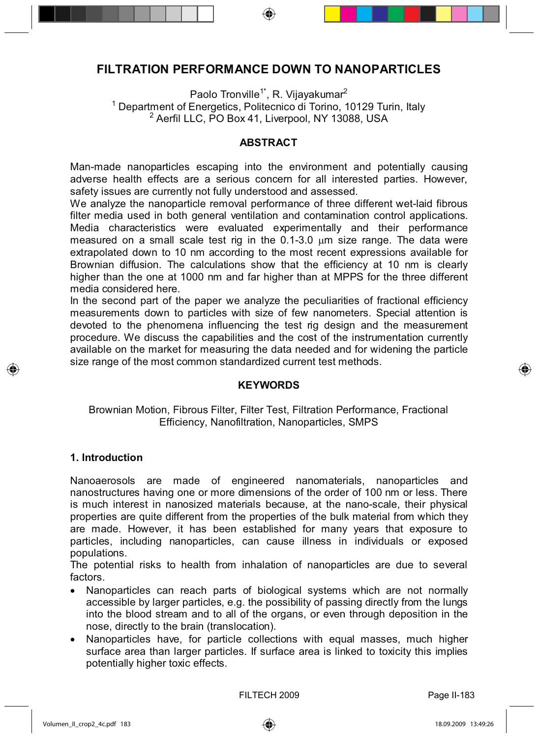### **FILTRATION PERFORMANCE DOWN TO NANOPARTICLES**

Paolo Tronville<sup>1\*</sup>, R. Vijayakumar<sup>2</sup> <sup>1</sup> Department of Energetics, Politecnico di Torino, 10129 Turin, Italy <sup>2</sup> Aerfil LLC, PO Box 41, Liverpool, NY 13088, USA

#### **ABSTRACT**

Man-made nanoparticles escaping into the environment and potentially causing adverse health effects are a serious concern for all interested parties. However, safety issues are currently not fully understood and assessed.

We analyze the nanoparticle removal performance of three different wet-laid fibrous filter media used in both general ventilation and contamination control applications. Media characteristics were evaluated experimentally and their performance measured on a small scale test rig in the  $0.1$ -3.0  $\mu$ m size range. The data were extrapolated down to 10 nm according to the most recent expressions available for Brownian diffusion. The calculations show that the efficiency at 10 nm is clearly higher than the one at 1000 nm and far higher than at MPPS for the three different media considered here.

In the second part of the paper we analyze the peculiarities of fractional efficiency measurements down to particles with size of few nanometers. Special attention is devoted to the phenomena influencing the test rig design and the measurement procedure. We discuss the capabilities and the cost of the instrumentation currently available on the market for measuring the data needed and for widening the particle size range of the most common standardized current test methods.

#### **KEYWORDS**

Brownian Motion, Fibrous Filter, Filter Test, Filtration Performance, Fractional Efficiency, Nanofiltration, Nanoparticles, SMPS

#### **1. Introduction**

Nanoaerosols are made of engineered nanomaterials, nanoparticles and nanostructures having one or more dimensions of the order of 100 nm or less. There is much interest in nanosized materials because, at the nano-scale, their physical properties are quite different from the properties of the bulk material from which they are made. However, it has been established for many years that exposure to particles, including nanoparticles, can cause illness in individuals or exposed populations.

The potential risks to health from inhalation of nanoparticles are due to several factors.

- Nanoparticles can reach parts of biological systems which are not normally accessible by larger particles, e.g. the possibility of passing directly from the lungs into the blood stream and to all of the organs, or even through deposition in the nose, directly to the brain (translocation).
- Nanoparticles have, for particle collections with equal masses, much higher surface area than larger particles. If surface area is linked to toxicity this implies potentially higher toxic effects.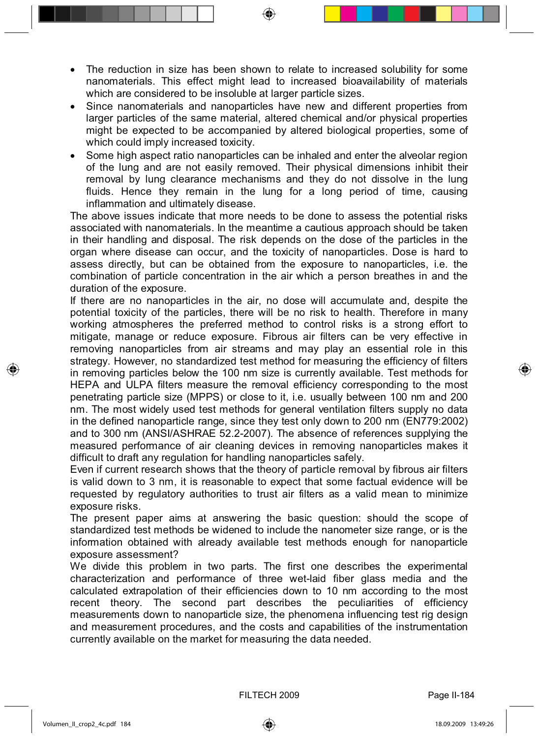- The reduction in size has been shown to relate to increased solubility for some nanomaterials. This effect might lead to increased bioavailability of materials which are considered to be insoluble at larger particle sizes.
- Since nanomaterials and nanoparticles have new and different properties from larger particles of the same material, altered chemical and/or physical properties might be expected to be accompanied by altered biological properties, some of which could imply increased toxicity.
- Some high aspect ratio nanoparticles can be inhaled and enter the alveolar region of the lung and are not easily removed. Their physical dimensions inhibit their removal by lung clearance mechanisms and they do not dissolve in the lung fluids. Hence they remain in the lung for a long period of time, causing inflammation and ultimately disease.

The above issues indicate that more needs to be done to assess the potential risks associated with nanomaterials. In the meantime a cautious approach should be taken in their handling and disposal. The risk depends on the dose of the particles in the organ where disease can occur, and the toxicity of nanoparticles. Dose is hard to assess directly, but can be obtained from the exposure to nanoparticles, i.e. the combination of particle concentration in the air which a person breathes in and the duration of the exposure.

If there are no nanoparticles in the air, no dose will accumulate and, despite the potential toxicity of the particles, there will be no risk to health. Therefore in many working atmospheres the preferred method to control risks is a strong effort to mitigate, manage or reduce exposure. Fibrous air filters can be very effective in removing nanoparticles from air streams and may play an essential role in this strategy. However, no standardized test method for measuring the efficiency of filters in removing particles below the 100 nm size is currently available. Test methods for HEPA and ULPA filters measure the removal efficiency corresponding to the most penetrating particle size (MPPS) or close to it, i.e. usually between 100 nm and 200 nm. The most widely used test methods for general ventilation filters supply no data in the defined nanoparticle range, since they test only down to 200 nm (EN779:2002) and to 300 nm (ANSI/ASHRAE 52.2-2007). The absence of references supplying the measured performance of air cleaning devices in removing nanoparticles makes it difficult to draft any regulation for handling nanoparticles safely.

Even if current research shows that the theory of particle removal by fibrous air filters is valid down to 3 nm, it is reasonable to expect that some factual evidence will be requested by regulatory authorities to trust air filters as a valid mean to minimize exposure risks.

The present paper aims at answering the basic question: should the scope of standardized test methods be widened to include the nanometer size range, or is the information obtained with already available test methods enough for nanoparticle exposure assessment?

We divide this problem in two parts. The first one describes the experimental characterization and performance of three wet-laid fiber glass media and the calculated extrapolation of their efficiencies down to 10 nm according to the most recent theory. The second part describes the peculiarities of efficiency measurements down to nanoparticle size, the phenomena influencing test rig design and measurement procedures, and the costs and capabilities of the instrumentation currently available on the market for measuring the data needed.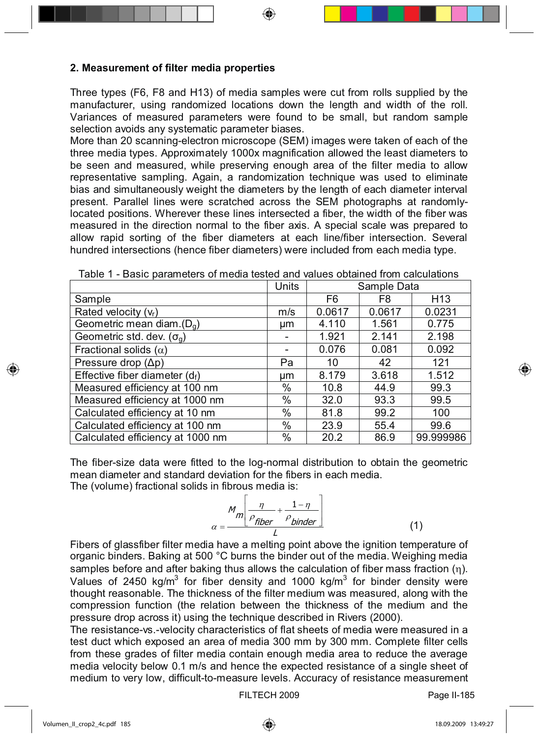#### **2. Measurement of filter media properties**

Three types (F6, F8 and H13) of media samples were cut from rolls supplied by the manufacturer, using randomized locations down the length and width of the roll. Variances of measured parameters were found to be small, but random sample selection avoids any systematic parameter biases.

More than 20 scanning-electron microscope (SEM) images were taken of each of the three media types. Approximately 1000x magnification allowed the least diameters to be seen and measured, while preserving enough area of the filter media to allow representative sampling. Again, a randomization technique was used to eliminate bias and simultaneously weight the diameters by the length of each diameter interval present. Parallel lines were scratched across the SEM photographs at randomlylocated positions. Wherever these lines intersected a fiber, the width of the fiber was measured in the direction normal to the fiber axis. A special scale was prepared to allow rapid sorting of the fiber diameters at each line/fiber intersection. Several hundred intersections (hence fiber diameters) were included from each media type.

|                                  | Units | Sample Data    |        |                 |
|----------------------------------|-------|----------------|--------|-----------------|
| Sample                           |       | F <sub>6</sub> | F8     | H <sub>13</sub> |
| Rated velocity $(v_r)$           | m/s   | 0.0617         | 0.0617 | 0.0231          |
| Geometric mean diam. $(D_q)$     | μm    | 4.110          | 1.561  | 0.775           |
| Geometric std. dev. $(\sigma_q)$ |       | 1.921          | 2.141  | 2.198           |
| Fractional solids $(\alpha)$     | -     | 0.076          | 0.081  | 0.092           |
| Pressure drop $(\Delta p)$       | Pa    | 10             | 42     | 121             |
| Effective fiber diameter $(d_f)$ | um    | 8.179          | 3.618  | 1.512           |
| Measured efficiency at 100 nm    | %     | 10.8           | 44.9   | 99.3            |
| Measured efficiency at 1000 nm   | %     | 32.0           | 93.3   | 99.5            |
| Calculated efficiency at 10 nm   | %     | 81.8           | 99.2   | 100             |
| Calculated efficiency at 100 nm  | %     | 23.9           | 55.4   | 99.6            |
| Calculated efficiency at 1000 nm | %     | 20.2           | 86.9   | 99.999986       |

Table 1 - Basic parameters of media tested and values obtained from calculations

The fiber-size data were fitted to the log-normal distribution to obtain the geometric mean diameter and standard deviation for the fibers in each media.

The (volume) fractional solids in fibrous media is:

$$
\alpha = \frac{M_m \left[ \frac{\eta}{\rho_{fiber}} + \frac{1 - \eta}{\rho_{binder}} \right]}{L}
$$
 (1)

Fibers of glassfiber filter media have a melting point above the ignition temperature of organic binders. Baking at 500 °C burns the binder out of the media. Weighing media samples before and after baking thus allows the calculation of fiber mass fraction  $(\eta)$ . Values of 2450 kg/m<sup>3</sup> for fiber density and 1000 kg/m<sup>3</sup> for binder density were thought reasonable. The thickness of the filter medium was measured, along with the compression function (the relation between the thickness of the medium and the pressure drop across it) using the technique described in Rivers (2000).

The resistance-vs.-velocity characteristics of flat sheets of media were measured in a test duct which exposed an area of media 300 mm by 300 mm. Complete filter cells from these grades of filter media contain enough media area to reduce the average media velocity below 0.1 m/s and hence the expected resistance of a single sheet of medium to very low, difficult-to-measure levels. Accuracy of resistance measurement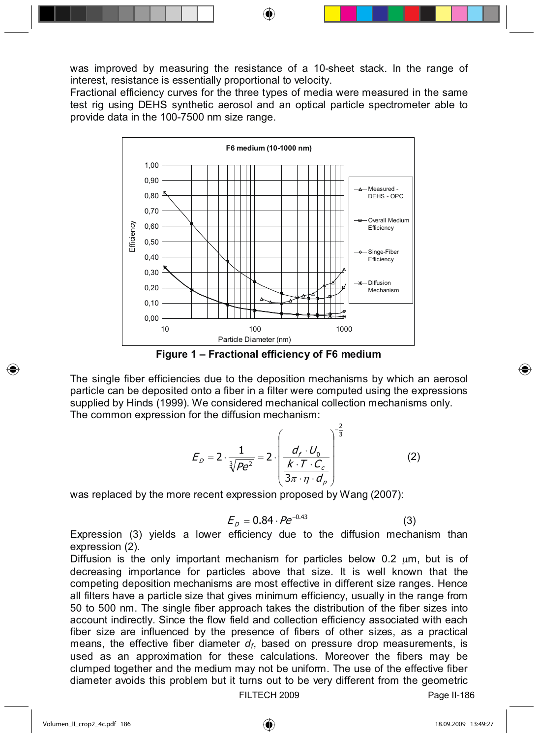was improved by measuring the resistance of a 10-sheet stack. In the range of interest, resistance is essentially proportional to velocity.

Fractional efficiency curves for the three types of media were measured in the same test rig using DEHS synthetic aerosol and an optical particle spectrometer able to provide data in the 100-7500 nm size range.



**Figure 1 – Fractional efficiency of F6 medium**

The single fiber efficiencies due to the deposition mechanisms by which an aerosol particle can be deposited onto a fiber in a filter were computed using the expressions supplied by Hinds (1999). We considered mechanical collection mechanisms only. The common expression for the diffusion mechanism:

$$
E_D = 2 \cdot \frac{1}{\sqrt[3]{P e^2}} = 2 \cdot \left(\frac{d_f \cdot U_0}{\frac{k \cdot T \cdot C_c}{3\pi \cdot \eta \cdot d_p}}\right)^{-\frac{2}{3}}
$$
(2)

was replaced by the more recent expression proposed by Wang (2007):

$$
E_D = 0.84 \cdot Pe^{-0.43} \tag{3}
$$

Expression (3) yields a lower efficiency due to the diffusion mechanism than expression (2).

Diffusion is the only important mechanism for particles below 0.2  $\mu$ m, but is of decreasing importance for particles above that size. It is well known that the competing deposition mechanisms are most effective in different size ranges. Hence all filters have a particle size that gives minimum efficiency, usually in the range from 50 to 500 nm. The single fiber approach takes the distribution of the fiber sizes into account indirectly. Since the flow field and collection efficiency associated with each fiber size are influenced by the presence of fibers of other sizes, as a practical means, the effective fiber diameter *df*, based on pressure drop measurements, is used as an approximation for these calculations. Moreover the fibers may be clumped together and the medium may not be uniform. The use of the effective fiber diameter avoids this problem but it turns out to be very different from the geometric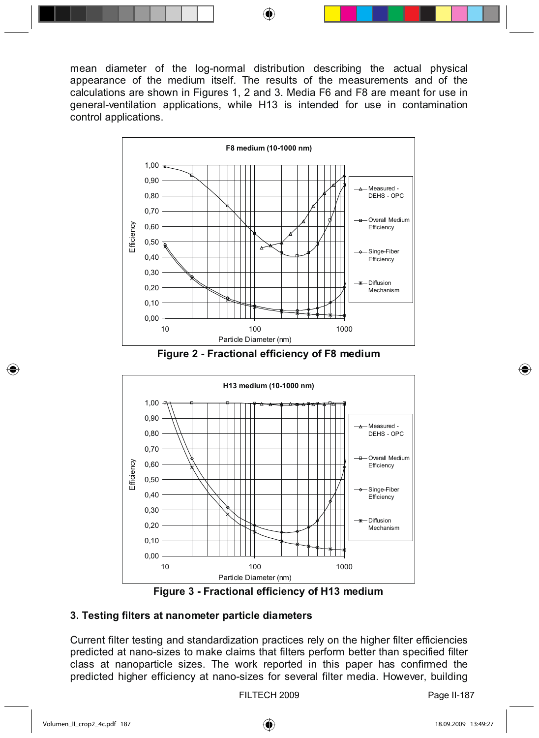mean diameter of the log-normal distribution describing the actual physical appearance of the medium itself. The results of the measurements and of the calculations are shown in Figures 1, 2 and 3. Media F6 and F8 are meant for use in general-ventilation applications, while H13 is intended for use in contamination control applications.



**Figure 2 - Fractional efficiency of F8 medium**





#### **3. Testing filters at nanometer particle diameters**

Current filter testing and standardization practices rely on the higher filter efficiencies predicted at nano-sizes to make claims that filters perform better than specified filter class at nanoparticle sizes. The work reported in this paper has confirmed the predicted higher efficiency at nano-sizes for several filter media. However, building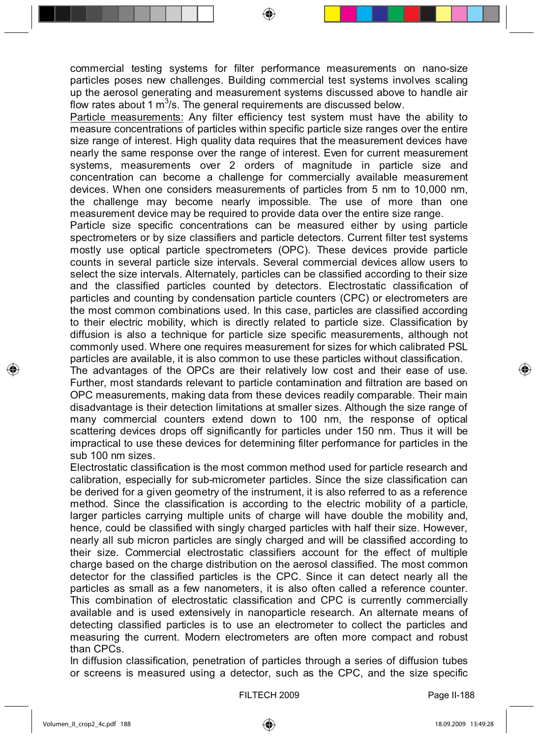commercial testing systems for filter performance measurements on nano-size particles poses new challenges. Building commercial test systems involves scaling up the aerosol generating and measurement systems discussed above to handle air flow rates about 1 m<sup>3</sup>/s. The general requirements are discussed below.

Particle measurements: Any filter efficiency test system must have the ability to measure concentrations of particles within specific particle size ranges over the entire size range of interest. High quality data requires that the measurement devices have nearly the same response over the range of interest. Even for current measurement systems, measurements over 2 orders of magnitude in particle size and concentration can become a challenge for commercially available measurement devices. When one considers measurements of particles from 5 nm to 10,000 nm, the challenge may become nearly impossible. The use of more than one measurement device may be required to provide data over the entire size range.

Particle size specific concentrations can be measured either by using particle spectrometers or by size classifiers and particle detectors. Current filter test systems mostly use optical particle spectrometers (OPC). These devices provide particle counts in several particle size intervals. Several commercial devices allow users to select the size intervals. Alternately, particles can be classified according to their size and the classified particles counted by detectors. Electrostatic classification of particles and counting by condensation particle counters (CPC) or electrometers are the most common combinations used. In this case, particles are classified according to their electric mobility, which is directly related to particle size. Classification by diffusion is also a technique for particle size specific measurements, although not commonly used. Where one requires measurement for sizes for which calibrated PSL particles are available, it is also common to use these particles without classification.

The advantages of the OPCs are their relatively low cost and their ease of use. Further, most standards relevant to particle contamination and filtration are based on OPC measurements, making data from these devices readily comparable. Their main disadvantage is their detection limitations at smaller sizes. Although the size range of many commercial counters extend down to 100 nm, the response of optical scattering devices drops off significantly for particles under 150 nm. Thus it will be impractical to use these devices for determining filter performance for particles in the sub 100 nm sizes.

Electrostatic classification is the most common method used for particle research and calibration, especially for sub-micrometer particles. Since the size classification can be derived for a given geometry of the instrument, it is also referred to as a reference method. Since the classification is according to the electric mobility of a particle, larger particles carrying multiple units of charge will have double the mobility and, hence, could be classified with singly charged particles with half their size. However, nearly all sub micron particles are singly charged and will be classified according to their size. Commercial electrostatic classifiers account for the effect of multiple charge based on the charge distribution on the aerosol classified. The most common detector for the classified particles is the CPC. Since it can detect nearly all the particles as small as a few nanometers, it is also often called a reference counter. This combination of electrostatic classification and CPC is currently commercially available and is used extensively in nanoparticle research. An alternate means of detecting classified particles is to use an electrometer to collect the particles and measuring the current. Modern electrometers are often more compact and robust than CPCs.

In diffusion classification, penetration of particles through a series of diffusion tubes or screens is measured using a detector, such as the CPC, and the size specific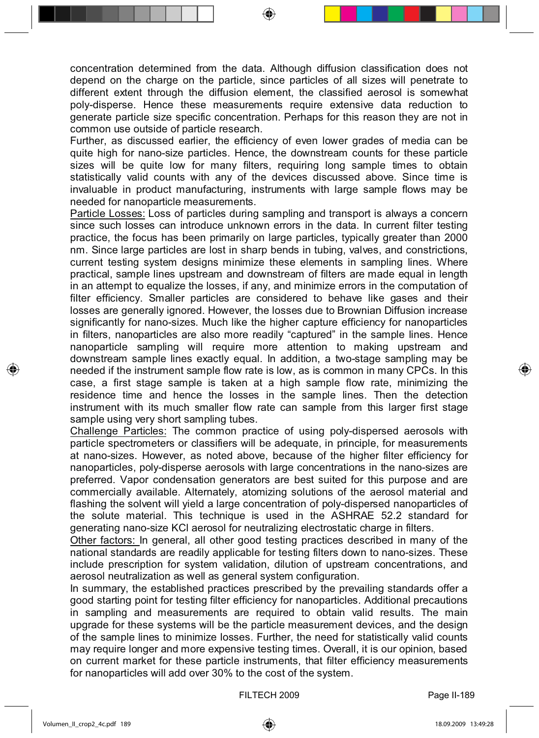concentration determined from the data. Although diffusion classification does not depend on the charge on the particle, since particles of all sizes will penetrate to different extent through the diffusion element, the classified aerosol is somewhat poly-disperse. Hence these measurements require extensive data reduction to generate particle size specific concentration. Perhaps for this reason they are not in common use outside of particle research.

Further, as discussed earlier, the efficiency of even lower grades of media can be quite high for nano-size particles. Hence, the downstream counts for these particle sizes will be quite low for many filters, requiring long sample times to obtain statistically valid counts with any of the devices discussed above. Since time is invaluable in product manufacturing, instruments with large sample flows may be needed for nanoparticle measurements.

Particle Losses: Loss of particles during sampling and transport is always a concern since such losses can introduce unknown errors in the data. In current filter testing practice, the focus has been primarily on large particles, typically greater than 2000 nm. Since large particles are lost in sharp bends in tubing, valves, and constrictions, current testing system designs minimize these elements in sampling lines. Where practical, sample lines upstream and downstream of filters are made equal in length in an attempt to equalize the losses, if any, and minimize errors in the computation of filter efficiency. Smaller particles are considered to behave like gases and their losses are generally ignored. However, the losses due to Brownian Diffusion increase significantly for nano-sizes. Much like the higher capture efficiency for nanoparticles in filters, nanoparticles are also more readily "captured" in the sample lines. Hence nanoparticle sampling will require more attention to making upstream and downstream sample lines exactly equal. In addition, a two-stage sampling may be needed if the instrument sample flow rate is low, as is common in many CPCs. In this case, a first stage sample is taken at a high sample flow rate, minimizing the residence time and hence the losses in the sample lines. Then the detection instrument with its much smaller flow rate can sample from this larger first stage sample using very short sampling tubes.

Challenge Particles: The common practice of using poly-dispersed aerosols with particle spectrometers or classifiers will be adequate, in principle, for measurements at nano-sizes. However, as noted above, because of the higher filter efficiency for nanoparticles, poly-disperse aerosols with large concentrations in the nano-sizes are preferred. Vapor condensation generators are best suited for this purpose and are commercially available. Alternately, atomizing solutions of the aerosol material and flashing the solvent will yield a large concentration of poly-dispersed nanoparticles of the solute material. This technique is used in the ASHRAE 52.2 standard for generating nano-size KCl aerosol for neutralizing electrostatic charge in filters.

Other factors: In general, all other good testing practices described in many of the national standards are readily applicable for testing filters down to nano-sizes. These include prescription for system validation, dilution of upstream concentrations, and aerosol neutralization as well as general system configuration.

In summary, the established practices prescribed by the prevailing standards offer a good starting point for testing filter efficiency for nanoparticles. Additional precautions in sampling and measurements are required to obtain valid results. The main upgrade for these systems will be the particle measurement devices, and the design of the sample lines to minimize losses. Further, the need for statistically valid counts may require longer and more expensive testing times. Overall, it is our opinion, based on current market for these particle instruments, that filter efficiency measurements for nanoparticles will add over 30% to the cost of the system.